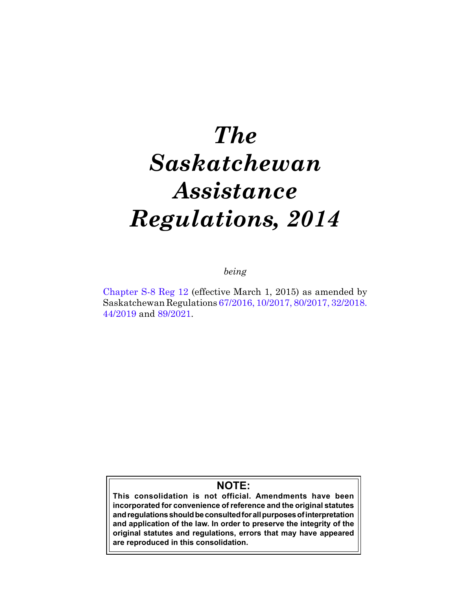# *The Saskatchewan Assistance Regulations, 2014*

*being*

[Chapter S-8 Reg 12](https://publications.saskatchewan.ca:443/api/v1/products/72305/formats/80590/download) (effective March 1, 2015) as amended by Saskatchewan Regulations [67/2016](https://publications.saskatchewan.ca:443/api/v1/products/81692/formats/93658/download), [10/2017,](https://publications.saskatchewan.ca:443/api/v1/products/84267/formats/97697/download) [80/2017,](https://publications.saskatchewan.ca:443/api/v1/products/86521/formats/100163/download) [32/2018](https://publications.saskatchewan.ca:443/api/v1/products/89945/formats/106773/download). [44/2019](https://publications.saskatchewan.ca:443/api/v1/products/101577/formats/112317/download) and [89/2021.](https://publications.saskatchewan.ca:443/api/v1/products/114740/formats/129689/download)

# **NOTE:**

**This consolidation is not official. Amendments have been incorporated for convenience of reference and the original statutes and regulations should be consulted for all purposes of interpretation and application of the law. In order to preserve the integrity of the original statutes and regulations, errors that may have appeared are reproduced in this consolidation.**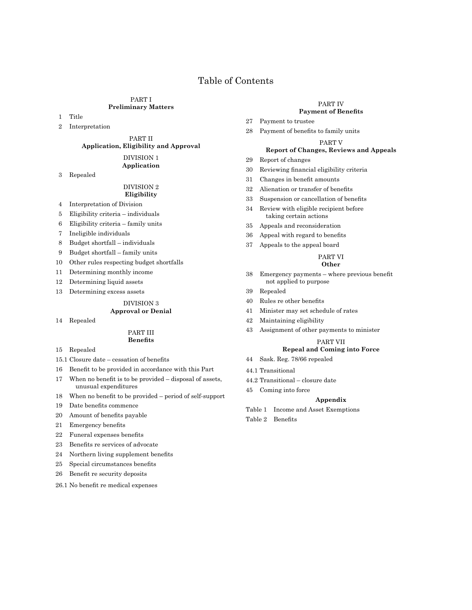# Table of Contents

#### PART I **Preliminary Matters**

- 1 Title
- 2 Interpretation

PART II **Application, Eligibility and Approval**

#### DIVISION 1 **Application**

3 Repealed

#### DIVISION 2 **Eligibility**

- 4 Interpretation of Division
- 5 Eligibility criteria individuals
- 6 Eligibility criteria family units
- 7 Ineligible individuals
- 8 Budget shortfall individuals
- 9 Budget shortfall family units
- 10 Other rules respecting budget shortfalls
- 11 Determining monthly income
- 12 Determining liquid assets
- 13 Determining excess assets

#### DIVISION 3 **Approval or Denial**

14 Repealed

#### PART III **Benefits**

- 15 Repealed
- 15.1 Closure date cessation of benefits
- 16 Benefit to be provided in accordance with this Part
- $17$  When no benefit is to be provided disposal of assets, unusual expenditures
- 18 When no benefit to be provided period of self-support
- 19 Date benefits commence
- 20 Amount of benefits payable
- 21 Emergency benefits
- 22 Funeral expenses benefits
- 23 Benefits re services of advocate
- 24 Northern living supplement benefits
- 25 Special circumstances benefits
- 26 Benefit re security deposits
- 26.1 No benefit re medical expenses

#### PART IV **Payment of Benefits**

- 27 Payment to trustee
- 28 Payment of benefits to family units

#### PART V

#### **Report of Changes, Reviews and Appeals**

- 29 Report of changes
- 30 Reviewing financial eligibility criteria
- 31 Changes in benefit amounts
- 32 Alienation or transfer of benefits
- 33 Suspension or cancellation of benefits
- 34 Review with eligible recipient before
- taking certain actions
- 35 Appeals and reconsideration
- 36 Appeal with regard to benefits
- 37 Appeals to the appeal board

#### PART VI **Other**

# 38 Emergency payments – where previous benefit

- not applied to purpose
- 39 Repealed
- 40 Rules re other benefits
- 41 Minister may set schedule of rates
- 42 Maintaining eligibility
- 43 Assignment of other payments to minister

#### PART VII **Repeal and Coming into Force**

- 44 Sask. Reg. 78/66 repealed
- 44.1 Transitional
- 44.2 Transitional closure date
	- **Appendix**
- Table 1 Income and Asset Exemptions
- Table 2 Benefits

45 Coming into force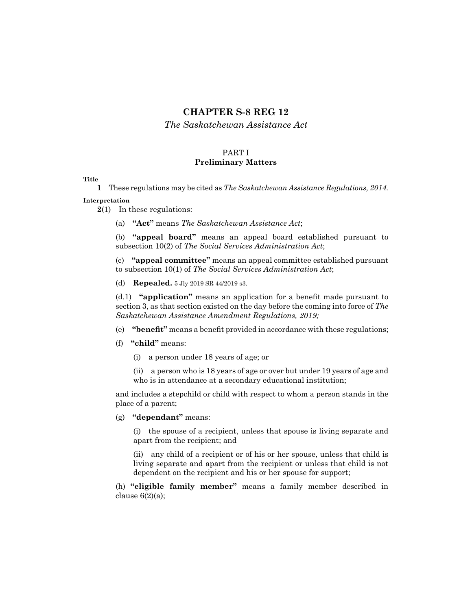# **CHAPTER S-8 REG 12**

*The Saskatchewan Assistance Act*

# PART I **Preliminary Matters**

**Title**

**1** These regulations may be cited as *The Saskatchewan Assistance Regulations, 2014.*

**Interpretation**

**2**(1) In these regulations:

(a) **"Act"** means *The Saskatchewan Assistance Act*;

(b) **"appeal board"** means an appeal board established pursuant to subsection 10(2) of *The Social Services Administration Act*;

(c) **"appeal committee"** means an appeal committee established pursuant to subsection 10(1) of *The Social Services Administration Act*;

(d) **Repealed.** 5 Jly 2019 SR 44/2019 s3.

(d.1) **"application"** means an application for a benefit made pursuant to section 3, as that section existed on the day before the coming into force of *The Saskatchewan Assistance Amendment Regulations, 2019;*

- (e) **"benefit"** means a benefit provided in accordance with these regulations;
- (f) **"child"** means:
	- (i) a person under 18 years of age; or

(ii) a person who is 18 years of age or over but under 19 years of age and who is in attendance at a secondary educational institution;

and includes a stepchild or child with respect to whom a person stands in the place of a parent;

(g) **"dependant"** means:

(i) the spouse of a recipient, unless that spouse is living separate and apart from the recipient; and

(ii) any child of a recipient or of his or her spouse, unless that child is living separate and apart from the recipient or unless that child is not dependent on the recipient and his or her spouse for support;

(h) **"eligible family member"** means a family member described in clause  $6(2)(a)$ ;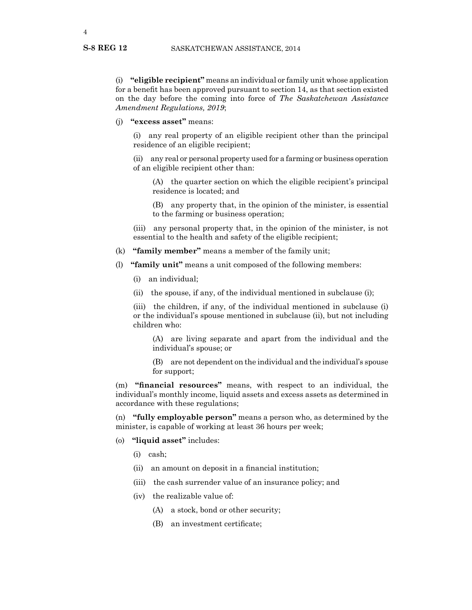(i) **"eligible recipient"** means an individual or family unit whose application for a benefit has been approved pursuant to section 14, as that section existed on the day before the coming into force of *The Saskatchewan Assistance Amendment Regulations, 2019*;

(j) **"excess asset"** means:

(i) any real property of an eligible recipient other than the principal residence of an eligible recipient;

(ii) any real or personal property used for a farming or business operation of an eligible recipient other than:

(A) the quarter section on which the eligible recipient's principal residence is located; and

(B) any property that, in the opinion of the minister, is essential to the farming or business operation;

(iii) any personal property that, in the opinion of the minister, is not essential to the health and safety of the eligible recipient;

- (k) **"family member"** means a member of the family unit;
- (l) **"family unit"** means a unit composed of the following members:
	- (i) an individual;
	- (ii) the spouse, if any, of the individual mentioned in subclause (i);

(iii) the children, if any, of the individual mentioned in subclause (i) or the individual's spouse mentioned in subclause (ii), but not including children who:

(A) are living separate and apart from the individual and the individual's spouse; or

(B) are not dependent on the individual and the individual's spouse for support;

(m) **"financial resources"** means, with respect to an individual, the individual's monthly income, liquid assets and excess assets as determined in accordance with these regulations;

(n) **"fully employable person"** means a person who, as determined by the minister, is capable of working at least 36 hours per week;

- (o) **"liquid asset"** includes:
	- (i) cash;
	- (ii) an amount on deposit in a financial institution;
	- (iii) the cash surrender value of an insurance policy; and
	- (iv) the realizable value of:
		- (A) a stock, bond or other security;
		- (B) an investment certificate;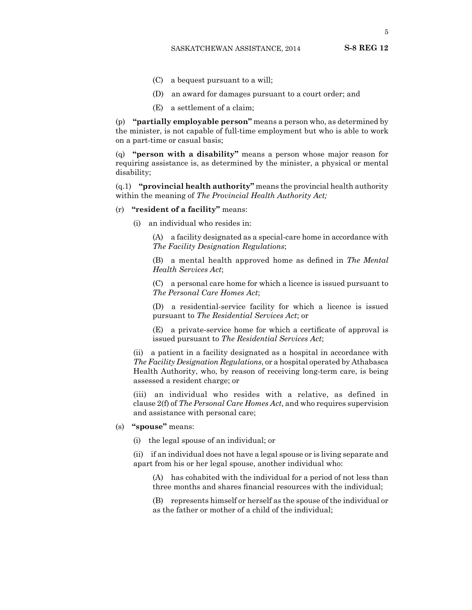- (C) a bequest pursuant to a will;
- (D) an award for damages pursuant to a court order; and
- (E) a settlement of a claim;

(p) **"partially employable person"** means a person who, as determined by the minister, is not capable of full-time employment but who is able to work on a part-time or casual basis;

(q) **"person with a disability"** means a person whose major reason for requiring assistance is, as determined by the minister, a physical or mental disability;

(q.1) **"provincial health authority"** means the provincial health authority within the meaning of *The Provincial Health Authority Act;*

#### (r) **"resident of a facility"** means:

(i) an individual who resides in:

(A) a facility designated as a special-care home in accordance with *The Facility Designation Regulations*;

(B) a mental health approved home as defined in *The Mental Health Services Act*;

(C) a personal care home for which a licence is issued pursuant to *The Personal Care Homes Act*;

(D) a residential-service facility for which a licence is issued pursuant to *The Residential Services Act*; or

(E) a private-service home for which a certificate of approval is issued pursuant to *The Residential Services Act*;

(ii) a patient in a facility designated as a hospital in accordance with *The Facility Designation Regulations*, or a hospital operated by Athabasca Health Authority, who, by reason of receiving long-term care, is being assessed a resident charge; or

(iii) an individual who resides with a relative, as defined in clause 2(f) of *The Personal Care Homes Act*, and who requires supervision and assistance with personal care;

- (s) **"spouse"** means:
	- (i) the legal spouse of an individual; or

(ii) if an individual does not have a legal spouse or is living separate and apart from his or her legal spouse, another individual who:

(A) has cohabited with the individual for a period of not less than three months and shares financial resources with the individual;

(B) represents himself or herself as the spouse of the individual or as the father or mother of a child of the individual;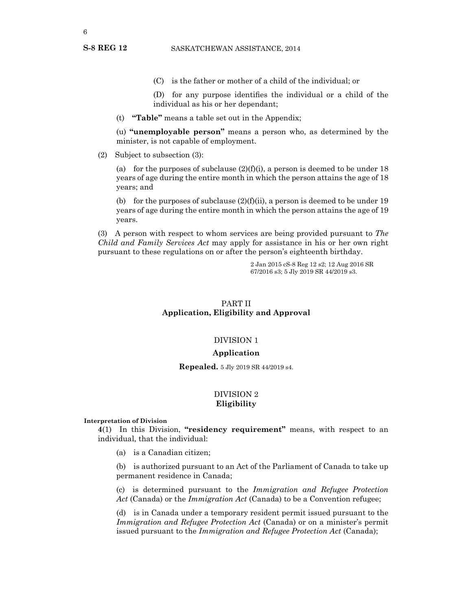## S-8 REG 12 SASKATCHEWAN ASSISTANCE, 2014

(C) is the father or mother of a child of the individual; or

(D) for any purpose identifies the individual or a child of the individual as his or her dependant;

(t) **"Table"** means a table set out in the Appendix;

(u) **"unemployable person"** means a person who, as determined by the minister, is not capable of employment.

(2) Subject to subsection (3):

(a) for the purposes of subclause  $(2)(f)(i)$ , a person is deemed to be under 18 years of age during the entire month in which the person attains the age of 18 years; and

(b) for the purposes of subclause  $(2)(f)(ii)$ , a person is deemed to be under 19 years of age during the entire month in which the person attains the age of 19 years.

(3) A person with respect to whom services are being provided pursuant to *The Child and Family Services Act* may apply for assistance in his or her own right pursuant to these regulations on or after the person's eighteenth birthday.

> 2 Jan 2015 cS-8 Reg 12 s2; 12 Aug 2016 SR 67/2016 s3; 5 Jly 2019 SR 44/2019 s3.

# PART II **Application, Eligibility and Approval**

# DIVISION 1

#### **Application**

**Repealed.** 5 Jly 2019 SR 44/2019 s4.

# DIVISION 2 **Eligibility**

**Interpretation of Division**

**4**(1) In this Division, **"residency requirement"** means, with respect to an individual, that the individual:

(a) is a Canadian citizen;

(b) is authorized pursuant to an Act of the Parliament of Canada to take up permanent residence in Canada;

(c) is determined pursuant to the *Immigration and Refugee Protection Act* (Canada) or the *Immigration Act* (Canada) to be a Convention refugee;

(d) is in Canada under a temporary resident permit issued pursuant to the *Immigration and Refugee Protection Act* (Canada) or on a minister's permit issued pursuant to the *Immigration and Refugee Protection Act* (Canada);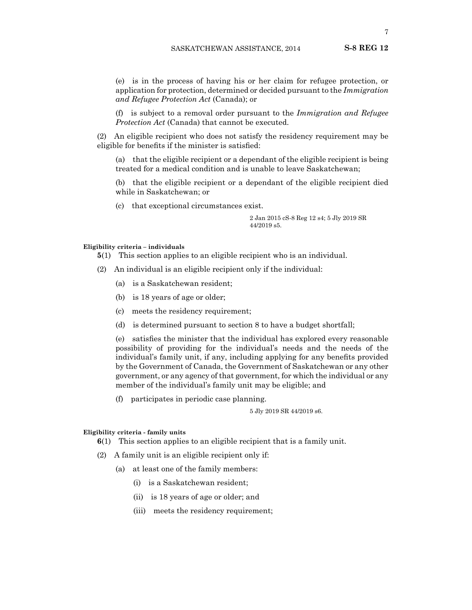(e) is in the process of having his or her claim for refugee protection, or application for protection, determined or decided pursuant to the *Immigration and Refugee Protection Act* (Canada); or

(f) is subject to a removal order pursuant to the *Immigration and Refugee Protection Act* (Canada) that cannot be executed.

(2) An eligible recipient who does not satisfy the residency requirement may be eligible for benefits if the minister is satisfied:

(a) that the eligible recipient or a dependant of the eligible recipient is being treated for a medical condition and is unable to leave Saskatchewan;

(b) that the eligible recipient or a dependant of the eligible recipient died while in Saskatchewan; or

(c) that exceptional circumstances exist.

2 Jan 2015 cS-8 Reg 12 s4; 5 Jly 2019 SR 44/2019 s5.

#### **Eligibility criteria – individuals**

**5**(1) This section applies to an eligible recipient who is an individual.

- (2) An individual is an eligible recipient only if the individual:
	- (a) is a Saskatchewan resident;
	- (b) is 18 years of age or older;
	- (c) meets the residency requirement;
	- (d) is determined pursuant to section 8 to have a budget shortfall;

(e) satisfies the minister that the individual has explored every reasonable possibility of providing for the individual's needs and the needs of the individual's family unit, if any, including applying for any benefits provided by the Government of Canada, the Government of Saskatchewan or any other government, or any agency of that government, for which the individual or any member of the individual's family unit may be eligible; and

(f) participates in periodic case planning.

5 Jly 2019 SR 44/2019 s6.

#### **Eligibility criteria - family units**

**6**(1) This section applies to an eligible recipient that is a family unit.

- (2) A family unit is an eligible recipient only if:
	- (a) at least one of the family members:
		- (i) is a Saskatchewan resident;
		- (ii) is 18 years of age or older; and
		- (iii) meets the residency requirement;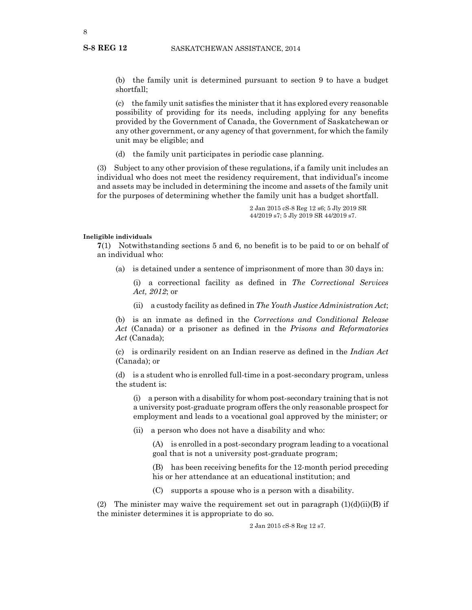(b) the family unit is determined pursuant to section 9 to have a budget shortfall;

(c) the family unit satisfies the minister that it has explored every reasonable possibility of providing for its needs, including applying for any benefits provided by the Government of Canada, the Government of Saskatchewan or any other government, or any agency of that government, for which the family unit may be eligible; and

(d) the family unit participates in periodic case planning.

(3) Subject to any other provision of these regulations, if a family unit includes an individual who does not meet the residency requirement, that individual's income and assets may be included in determining the income and assets of the family unit for the purposes of determining whether the family unit has a budget shortfall.

> 2 Jan 2015 cS-8 Reg 12 s6; 5 Jly 2019 SR 44/2019 s7; 5 Jly 2019 SR 44/2019 s7.

#### **Ineligible individuals**

**7**(1) Notwithstanding sections 5 and 6, no benefit is to be paid to or on behalf of an individual who:

(a) is detained under a sentence of imprisonment of more than 30 days in:

(i) a correctional facility as defined in *The Correctional Services Act, 2012*; or

(ii) a custody facility as defined in *The Youth Justice Administration Act*;

(b) is an inmate as defined in the *Corrections and Conditional Release Act* (Canada) or a prisoner as defined in the *Prisons and Reformatories Act* (Canada);

(c) is ordinarily resident on an Indian reserve as defined in the *Indian Act* (Canada); or

(d) is a student who is enrolled full-time in a post-secondary program, unless the student is:

(i) a person with a disability for whom post-secondary training that is not a university post-graduate program offers the only reasonable prospect for employment and leads to a vocational goal approved by the minister; or

(ii) a person who does not have a disability and who:

(A) is enrolled in a post-secondary program leading to a vocational goal that is not a university post-graduate program;

(B) has been receiving benefits for the 12-month period preceding his or her attendance at an educational institution; and

(C) supports a spouse who is a person with a disability.

(2) The minister may waive the requirement set out in paragraph  $(1)(d)(ii)(B)$  if the minister determines it is appropriate to do so.

2 Jan 2015 cS-8 Reg 12 s7.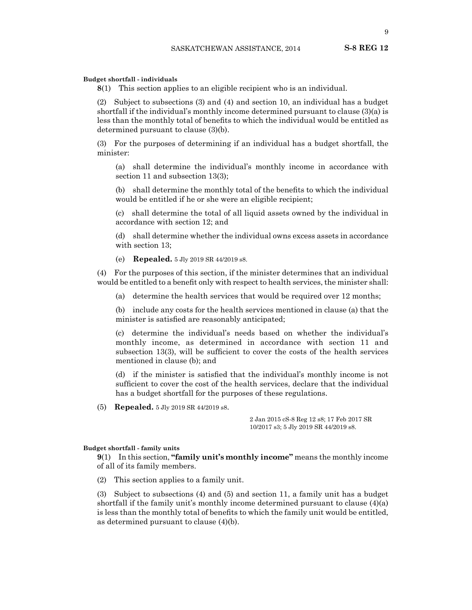#### **Budget shortfall - individuals**

**8**(1) This section applies to an eligible recipient who is an individual.

(2) Subject to subsections (3) and (4) and section 10, an individual has a budget shortfall if the individual's monthly income determined pursuant to clause (3)(a) is less than the monthly total of benefits to which the individual would be entitled as determined pursuant to clause (3)(b).

(3) For the purposes of determining if an individual has a budget shortfall, the minister:

(a) shall determine the individual's monthly income in accordance with section 11 and subsection 13(3);

(b) shall determine the monthly total of the benefits to which the individual would be entitled if he or she were an eligible recipient;

(c) shall determine the total of all liquid assets owned by the individual in accordance with section 12; and

(d) shall determine whether the individual owns excess assets in accordance with section 13;

(e) **Repealed.** 5 Jly 2019 SR 44/2019 s8.

(4) For the purposes of this section, if the minister determines that an individual would be entitled to a benefit only with respect to health services, the minister shall:

(a) determine the health services that would be required over 12 months;

(b) include any costs for the health services mentioned in clause (a) that the minister is satisfied are reasonably anticipated;

(c) determine the individual's needs based on whether the individual's monthly income, as determined in accordance with section 11 and subsection 13(3), will be sufficient to cover the costs of the health services mentioned in clause (b); and

(d) if the minister is satisfied that the individual's monthly income is not sufficient to cover the cost of the health services, declare that the individual has a budget shortfall for the purposes of these regulations.

(5) **Repealed.** 5 Jly 2019 SR 44/2019 s8.

2 Jan 2015 cS-8 Reg 12 s8; 17 Feb 2017 SR 10/2017 s3; 5 Jly 2019 SR 44/2019 s8.

#### **Budget shortfall - family units**

**9**(1) In this section, **"family unit's monthly income"** means the monthly income of all of its family members.

(2) This section applies to a family unit.

(3) Subject to subsections (4) and (5) and section 11, a family unit has a budget shortfall if the family unit's monthly income determined pursuant to clause (4)(a) is less than the monthly total of benefits to which the family unit would be entitled, as determined pursuant to clause (4)(b).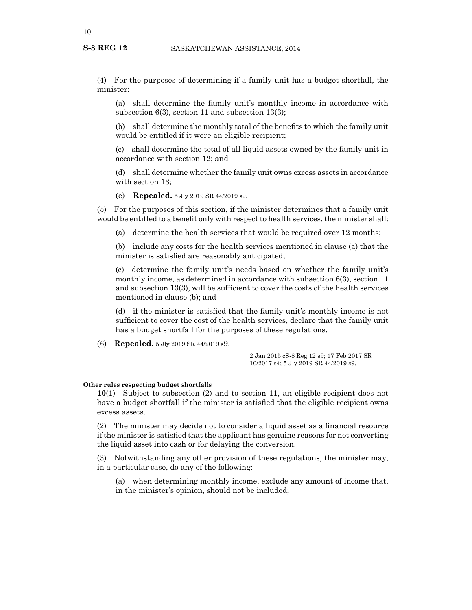(4) For the purposes of determining if a family unit has a budget shortfall, the minister:

(a) shall determine the family unit's monthly income in accordance with subsection 6(3), section 11 and subsection 13(3);

(b) shall determine the monthly total of the benefits to which the family unit would be entitled if it were an eligible recipient;

(c) shall determine the total of all liquid assets owned by the family unit in accordance with section 12; and

(d) shall determine whether the family unit owns excess assets in accordance with section 13;

(e) **Repealed.** 5 Jly 2019 SR 44/2019 s9.

(5) For the purposes of this section, if the minister determines that a family unit would be entitled to a benefit only with respect to health services, the minister shall:

(a) determine the health services that would be required over 12 months;

(b) include any costs for the health services mentioned in clause (a) that the minister is satisfied are reasonably anticipated;

(c) determine the family unit's needs based on whether the family unit's monthly income, as determined in accordance with subsection 6(3), section 11 and subsection 13(3), will be sufficient to cover the costs of the health services mentioned in clause (b); and

(d) if the minister is satisfied that the family unit's monthly income is not sufficient to cover the cost of the health services, declare that the family unit has a budget shortfall for the purposes of these regulations.

(6) **Repealed.** 5 Jly 2019 SR 44/2019 s9.

2 Jan 2015 cS-8 Reg 12 s9; 17 Feb 2017 SR 10/2017 s4; 5 Jly 2019 SR 44/2019 s9.

#### **Other rules respecting budget shortfalls**

**10**(1) Subject to subsection (2) and to section 11, an eligible recipient does not have a budget shortfall if the minister is satisfied that the eligible recipient owns excess assets.

(2) The minister may decide not to consider a liquid asset as a financial resource if the minister is satisfied that the applicant has genuine reasons for not converting the liquid asset into cash or for delaying the conversion.

(3) Notwithstanding any other provision of these regulations, the minister may, in a particular case, do any of the following:

(a) when determining monthly income, exclude any amount of income that, in the minister's opinion, should not be included;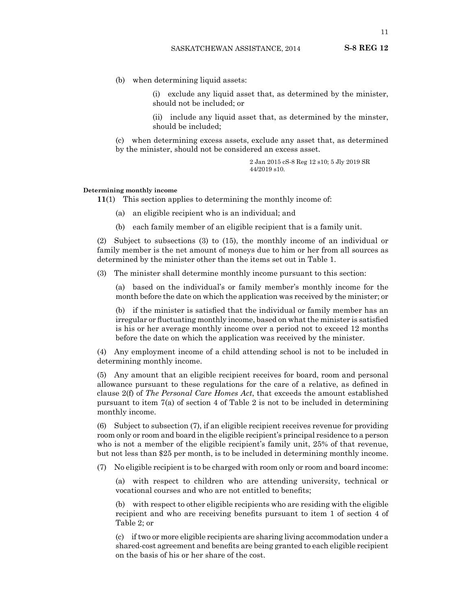(b) when determining liquid assets:

(i) exclude any liquid asset that, as determined by the minister, should not be included; or

(ii) include any liquid asset that, as determined by the minster, should be included;

(c) when determining excess assets, exclude any asset that, as determined by the minister, should not be considered an excess asset.

> 2 Jan 2015 cS-8 Reg 12 s10; 5 Jly 2019 SR 44/2019 s10.

#### **Determining monthly income**

**11**(1) This section applies to determining the monthly income of:

- (a) an eligible recipient who is an individual; and
- (b) each family member of an eligible recipient that is a family unit.

(2) Subject to subsections (3) to (15), the monthly income of an individual or family member is the net amount of moneys due to him or her from all sources as determined by the minister other than the items set out in Table 1.

(3) The minister shall determine monthly income pursuant to this section:

(a) based on the individual's or family member's monthly income for the month before the date on which the application was received by the minister; or

(b) if the minister is satisfied that the individual or family member has an irregular or fluctuating monthly income, based on what the minister is satisfied is his or her average monthly income over a period not to exceed 12 months before the date on which the application was received by the minister.

(4) Any employment income of a child attending school is not to be included in determining monthly income.

(5) Any amount that an eligible recipient receives for board, room and personal allowance pursuant to these regulations for the care of a relative, as defined in clause 2(f) of *The Personal Care Homes Act*, that exceeds the amount established pursuant to item 7(a) of section 4 of Table 2 is not to be included in determining monthly income.

(6) Subject to subsection (7), if an eligible recipient receives revenue for providing room only or room and board in the eligible recipient's principal residence to a person who is not a member of the eligible recipient's family unit, 25% of that revenue, but not less than \$25 per month, is to be included in determining monthly income.

(7) No eligible recipient is to be charged with room only or room and board income:

(a) with respect to children who are attending university, technical or vocational courses and who are not entitled to benefits;

(b) with respect to other eligible recipients who are residing with the eligible recipient and who are receiving benefits pursuant to item 1 of section 4 of Table 2; or

(c) if two or more eligible recipients are sharing living accommodation under a shared-cost agreement and benefits are being granted to each eligible recipient on the basis of his or her share of the cost.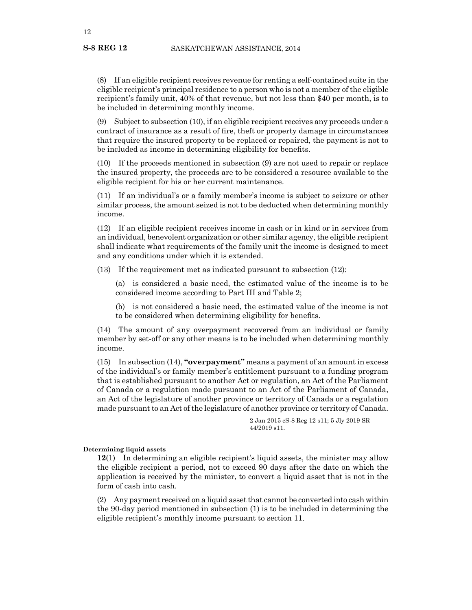(8) If an eligible recipient receives revenue for renting a self-contained suite in the eligible recipient's principal residence to a person who is not a member of the eligible recipient's family unit, 40% of that revenue, but not less than \$40 per month, is to be included in determining monthly income.

(9) Subject to subsection (10), if an eligible recipient receives any proceeds under a contract of insurance as a result of fire, theft or property damage in circumstances that require the insured property to be replaced or repaired, the payment is not to be included as income in determining eligibility for benefits.

(10) If the proceeds mentioned in subsection (9) are not used to repair or replace the insured property, the proceeds are to be considered a resource available to the eligible recipient for his or her current maintenance.

(11) If an individual's or a family member's income is subject to seizure or other similar process, the amount seized is not to be deducted when determining monthly income.

(12) If an eligible recipient receives income in cash or in kind or in services from an individual, benevolent organization or other similar agency, the eligible recipient shall indicate what requirements of the family unit the income is designed to meet and any conditions under which it is extended.

(13) If the requirement met as indicated pursuant to subsection (12):

(a) is considered a basic need, the estimated value of the income is to be considered income according to Part III and Table 2;

(b) is not considered a basic need, the estimated value of the income is not to be considered when determining eligibility for benefits.

(14) The amount of any overpayment recovered from an individual or family member by set-off or any other means is to be included when determining monthly income.

(15) In subsection (14), **"overpayment"** means a payment of an amount in excess of the individual's or family member's entitlement pursuant to a funding program that is established pursuant to another Act or regulation, an Act of the Parliament of Canada or a regulation made pursuant to an Act of the Parliament of Canada, an Act of the legislature of another province or territory of Canada or a regulation made pursuant to an Act of the legislature of another province or territory of Canada.

> 2 Jan 2015 cS-8 Reg 12 s11; 5 Jly 2019 SR 44/2019 s11.

#### **Determining liquid assets**

**12**(1) In determining an eligible recipient's liquid assets, the minister may allow the eligible recipient a period, not to exceed 90 days after the date on which the application is received by the minister, to convert a liquid asset that is not in the form of cash into cash.

(2) Any payment received on a liquid asset that cannot be converted into cash within the 90-day period mentioned in subsection (1) is to be included in determining the eligible recipient's monthly income pursuant to section 11.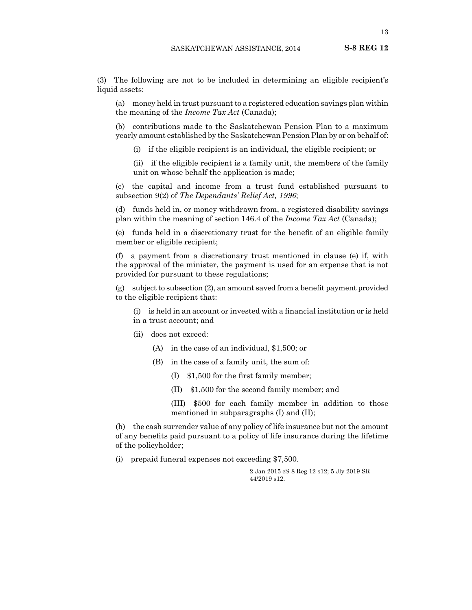(3) The following are not to be included in determining an eligible recipient's liquid assets:

(a) money held in trust pursuant to a registered education savings plan within the meaning of the *Income Tax Act* (Canada);

(b) contributions made to the Saskatchewan Pension Plan to a maximum yearly amount established by the Saskatchewan Pension Plan by or on behalf of:

(i) if the eligible recipient is an individual, the eligible recipient; or

(ii) if the eligible recipient is a family unit, the members of the family unit on whose behalf the application is made;

(c) the capital and income from a trust fund established pursuant to subsection 9(2) of *The Dependants' Relief Act, 1996*;

(d) funds held in, or money withdrawn from, a registered disability savings plan within the meaning of section 146.4 of the *Income Tax Act* (Canada);

(e) funds held in a discretionary trust for the benefit of an eligible family member or eligible recipient;

(f) a payment from a discretionary trust mentioned in clause (e) if, with the approval of the minister, the payment is used for an expense that is not provided for pursuant to these regulations;

 $(g)$  subject to subsection  $(2)$ , an amount saved from a benefit payment provided to the eligible recipient that:

(i) is held in an account or invested with a financial institution or is held in a trust account; and

- (ii) does not exceed:
	- (A) in the case of an individual, \$1,500; or
	- (B) in the case of a family unit, the sum of:
		- (I) \$1,500 for the first family member;
		- (II) \$1,500 for the second family member; and

(III) \$500 for each family member in addition to those mentioned in subparagraphs (I) and (II);

(h) the cash surrender value of any policy of life insurance but not the amount of any benefits paid pursuant to a policy of life insurance during the lifetime of the policyholder;

(i) prepaid funeral expenses not exceeding \$7,500.

2 Jan 2015 cS-8 Reg 12 s12; 5 Jly 2019 SR 44/2019 s12.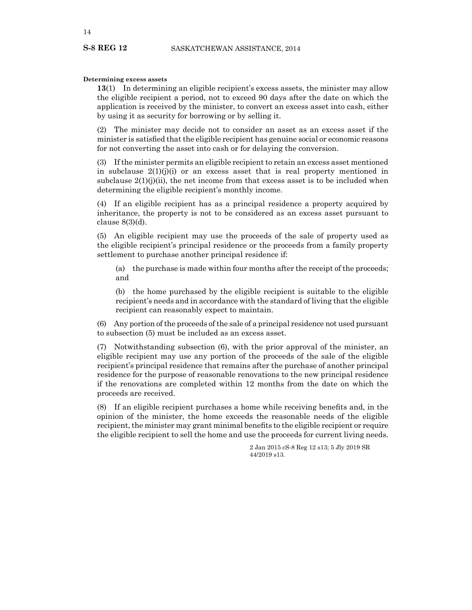#### **Determining excess assets**

**13**(1) In determining an eligible recipient's excess assets, the minister may allow the eligible recipient a period, not to exceed 90 days after the date on which the application is received by the minister, to convert an excess asset into cash, either by using it as security for borrowing or by selling it.

(2) The minister may decide not to consider an asset as an excess asset if the minister is satisfied that the eligible recipient has genuine social or economic reasons for not converting the asset into cash or for delaying the conversion.

(3) If the minister permits an eligible recipient to retain an excess asset mentioned in subclause  $2(1)(j)(i)$  or an excess asset that is real property mentioned in subclause  $2(1)(j)(ii)$ , the net income from that excess asset is to be included when determining the eligible recipient's monthly income.

(4) If an eligible recipient has as a principal residence a property acquired by inheritance, the property is not to be considered as an excess asset pursuant to clause  $8(3)(d)$ .

(5) An eligible recipient may use the proceeds of the sale of property used as the eligible recipient's principal residence or the proceeds from a family property settlement to purchase another principal residence if:

(a) the purchase is made within four months after the receipt of the proceeds; and

(b) the home purchased by the eligible recipient is suitable to the eligible recipient's needs and in accordance with the standard of living that the eligible recipient can reasonably expect to maintain.

(6) Any portion of the proceeds of the sale of a principal residence not used pursuant to subsection (5) must be included as an excess asset.

(7) Notwithstanding subsection (6), with the prior approval of the minister, an eligible recipient may use any portion of the proceeds of the sale of the eligible recipient's principal residence that remains after the purchase of another principal residence for the purpose of reasonable renovations to the new principal residence if the renovations are completed within 12 months from the date on which the proceeds are received.

(8) If an eligible recipient purchases a home while receiving benefits and, in the opinion of the minister, the home exceeds the reasonable needs of the eligible recipient, the minister may grant minimal benefits to the eligible recipient or require the eligible recipient to sell the home and use the proceeds for current living needs.

> 2 Jan 2015 cS-8 Reg 12 s13; 5 Jly 2019 SR 44/2019 s13.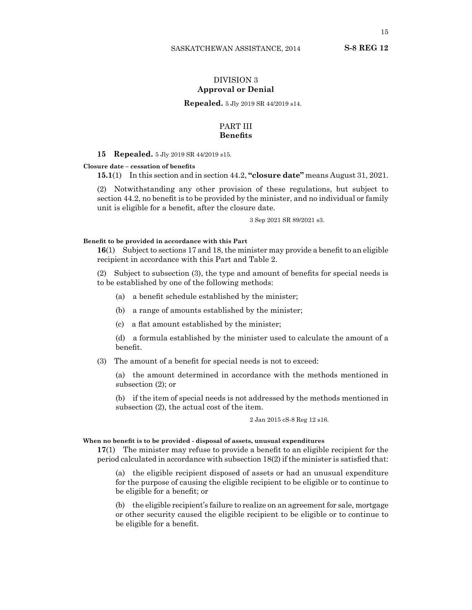# DIVISION 3 **Approval or Denial**

#### **Repealed.** 5 Jly 2019 SR 44/2019 s14.

# PART III **Benefits**

#### **15 Repealed.** 5 Jly 2019 SR 44/2019 s15.

#### **Closure date – cessation of benefits**

**15.1**(1) In this section and in section 44.2, **"closure date"** means August 31, 2021.

(2) Notwithstanding any other provision of these regulations, but subject to section 44.2, no benefit is to be provided by the minister, and no individual or family unit is eligible for a benefit, after the closure date.

3 Sep 2021 SR 89/2021 s3.

#### **Benefit to be provided in accordance with this Part**

**16**(1) Subject to sections 17 and 18, the minister may provide a benefit to an eligible recipient in accordance with this Part and Table 2.

(2) Subject to subsection (3), the type and amount of benefits for special needs is to be established by one of the following methods:

- (a) a benefit schedule established by the minister;
- (b) a range of amounts established by the minister;
- (c) a flat amount established by the minister;

(d) a formula established by the minister used to calculate the amount of a benefit.

(3) The amount of a benefit for special needs is not to exceed:

(a) the amount determined in accordance with the methods mentioned in subsection (2); or

(b) if the item of special needs is not addressed by the methods mentioned in subsection (2), the actual cost of the item.

2 Jan 2015 cS-8 Reg 12 s16.

#### **When no benefit is to be provided - disposal of assets, unusual expenditures**

**17**(1) The minister may refuse to provide a benefit to an eligible recipient for the period calculated in accordance with subsection 18(2) if the minister is satisfied that:

(a) the eligible recipient disposed of assets or had an unusual expenditure for the purpose of causing the eligible recipient to be eligible or to continue to be eligible for a benefit; or

(b) the eligible recipient's failure to realize on an agreement for sale, mortgage or other security caused the eligible recipient to be eligible or to continue to be eligible for a benefit.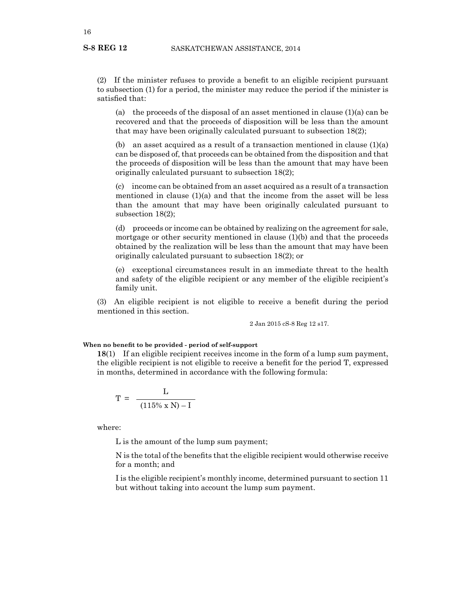(2) If the minister refuses to provide a benefit to an eligible recipient pursuant to subsection (1) for a period, the minister may reduce the period if the minister is satisfied that:

(a) the proceeds of the disposal of an asset mentioned in clause  $(1)(a)$  can be recovered and that the proceeds of disposition will be less than the amount that may have been originally calculated pursuant to subsection 18(2);

(b) an asset acquired as a result of a transaction mentioned in clause  $(1)(a)$ can be disposed of, that proceeds can be obtained from the disposition and that the proceeds of disposition will be less than the amount that may have been originally calculated pursuant to subsection 18(2);

(c) income can be obtained from an asset acquired as a result of a transaction mentioned in clause  $(1)(a)$  and that the income from the asset will be less than the amount that may have been originally calculated pursuant to subsection 18(2);

(d) proceeds or income can be obtained by realizing on the agreement for sale, mortgage or other security mentioned in clause  $(1)(b)$  and that the proceeds obtained by the realization will be less than the amount that may have been originally calculated pursuant to subsection 18(2); or

(e) exceptional circumstances result in an immediate threat to the health and safety of the eligible recipient or any member of the eligible recipient's family unit.

(3) An eligible recipient is not eligible to receive a benefit during the period mentioned in this section.

2 Jan 2015 cS-8 Reg 12 s17.

#### **When no benefit to be provided - period of self-support**

**18**(1) If an eligible recipient receives income in the form of a lump sum payment, the eligible recipient is not eligible to receive a benefit for the period T, expressed in months, determined in accordance with the following formula:

$$
T = \frac{L}{(115\% \text{ x N}) - I}
$$

where:

L is the amount of the lump sum payment;

N is the total of the benefits that the eligible recipient would otherwise receive for a month; and

I is the eligible recipient's monthly income, determined pursuant to section 11 but without taking into account the lump sum payment.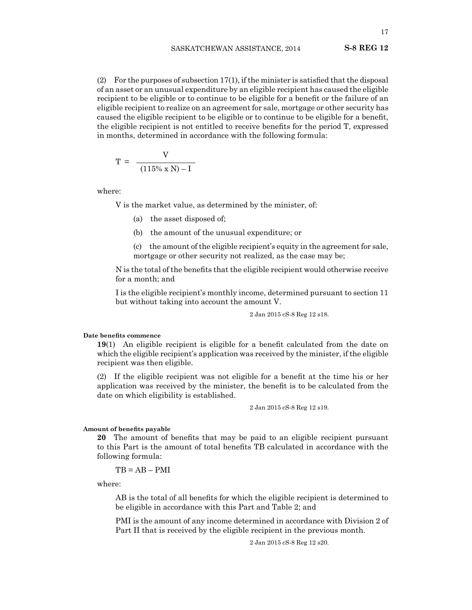17

(2) For the purposes of subsection 17(1), if the minister is satisfied that the disposal of an asset or an unusual expenditure by an eligible recipient has caused the eligible recipient to be eligible or to continue to be eligible for a benefit or the failure of an eligible recipient to realize on an agreement for sale, mortgage or other security has caused the eligible recipient to be eligible or to continue to be eligible for a benefit, the eligible recipient is not entitled to receive benefits for the period T, expressed in months, determined in accordance with the following formula:

$$
T = \frac{V}{(115\% \text{ x N}) - I}
$$

where:

V is the market value, as determined by the minister, of:

- (a) the asset disposed of;
- (b) the amount of the unusual expenditure; or
- (c) the amount of the eligible recipient's equity in the agreement for sale, mortgage or other security not realized, as the case may be;

N is the total of the benefits that the eligible recipient would otherwise receive for a month; and

I is the eligible recipient's monthly income, determined pursuant to section 11 but without taking into account the amount V.

2 Jan 2015 cS-8 Reg 12 s18.

#### **Date benefits commence**

**19**(1) An eligible recipient is eligible for a benefit calculated from the date on which the eligible recipient's application was received by the minister, if the eligible recipient was then eligible.

(2) If the eligible recipient was not eligible for a benefit at the time his or her application was received by the minister, the benefit is to be calculated from the date on which eligibility is established.

2 Jan 2015 cS-8 Reg 12 s19.

#### **Amount of benefits payable**

**20** The amount of benefits that may be paid to an eligible recipient pursuant to this Part is the amount of total benefits TB calculated in accordance with the following formula:

 $TB = AB - PMI$ 

where:

AB is the total of all benefits for which the eligible recipient is determined to be eligible in accordance with this Part and Table 2; and

PMI is the amount of any income determined in accordance with Division 2 of Part II that is received by the eligible recipient in the previous month.

2 Jan 2015 cS-8 Reg 12 s20.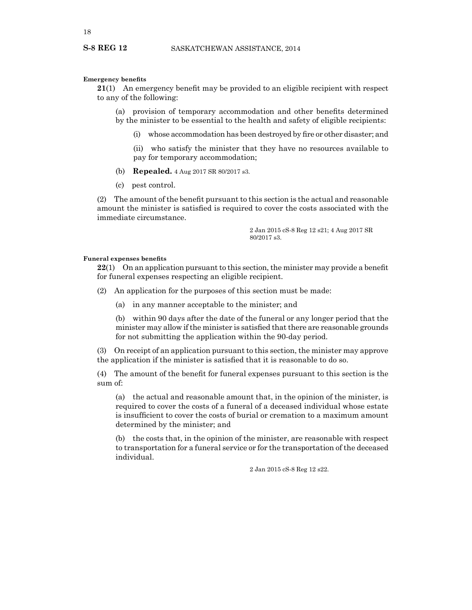#### **Emergency benefits**

**21**(1) An emergency benefit may be provided to an eligible recipient with respect to any of the following:

(a) provision of temporary accommodation and other benefits determined by the minister to be essential to the health and safety of eligible recipients:

(i) whose accommodation has been destroyed by fire or other disaster; and

(ii) who satisfy the minister that they have no resources available to pay for temporary accommodation;

- (b) **Repealed.** 4 Aug 2017 SR 80/2017 s3.
- (c) pest control.

(2) The amount of the benefit pursuant to this section is the actual and reasonable amount the minister is satisfied is required to cover the costs associated with the immediate circumstance.

> 2 Jan 2015 cS-8 Reg 12 s21; 4 Aug 2017 SR 80/2017 s3.

#### **Funeral expenses benefits**

**22**(1) On an application pursuant to this section, the minister may provide a benefit for funeral expenses respecting an eligible recipient.

- (2) An application for the purposes of this section must be made:
	- (a) in any manner acceptable to the minister; and

(b) within 90 days after the date of the funeral or any longer period that the minister may allow if the minister is satisfied that there are reasonable grounds for not submitting the application within the 90-day period.

(3) On receipt of an application pursuant to this section, the minister may approve the application if the minister is satisfied that it is reasonable to do so.

(4) The amount of the benefit for funeral expenses pursuant to this section is the sum of:

(a) the actual and reasonable amount that, in the opinion of the minister, is required to cover the costs of a funeral of a deceased individual whose estate is insufficient to cover the costs of burial or cremation to a maximum amount determined by the minister; and

(b) the costs that, in the opinion of the minister, are reasonable with respect to transportation for a funeral service or for the transportation of the deceased individual.

2 Jan 2015 cS-8 Reg 12 s22.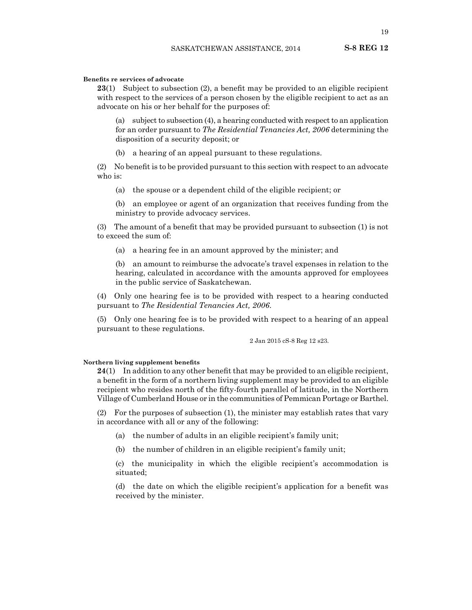#### **Benefits re services of advocate**

**23**(1) Subject to subsection (2), a benefit may be provided to an eligible recipient with respect to the services of a person chosen by the eligible recipient to act as an advocate on his or her behalf for the purposes of:

(a) subject to subsection (4), a hearing conducted with respect to an application for an order pursuant to *The Residential Tenancies Act, 2006* determining the disposition of a security deposit; or

(b) a hearing of an appeal pursuant to these regulations.

(2) No benefit is to be provided pursuant to this section with respect to an advocate who is:

(a) the spouse or a dependent child of the eligible recipient; or

(b) an employee or agent of an organization that receives funding from the ministry to provide advocacy services.

(3) The amount of a benefit that may be provided pursuant to subsection (1) is not to exceed the sum of:

(a) a hearing fee in an amount approved by the minister; and

(b) an amount to reimburse the advocate's travel expenses in relation to the hearing, calculated in accordance with the amounts approved for employees in the public service of Saskatchewan.

(4) Only one hearing fee is to be provided with respect to a hearing conducted pursuant to *The Residential Tenancies Act, 2006*.

(5) Only one hearing fee is to be provided with respect to a hearing of an appeal pursuant to these regulations.

2 Jan 2015 cS-8 Reg 12 s23.

#### **Northern living supplement benefits**

**24**(1) In addition to any other benefit that may be provided to an eligible recipient, a benefit in the form of a northern living supplement may be provided to an eligible recipient who resides north of the fifty-fourth parallel of latitude, in the Northern Village of Cumberland House or in the communities of Pemmican Portage or Barthel.

(2) For the purposes of subsection (1), the minister may establish rates that vary in accordance with all or any of the following:

- (a) the number of adults in an eligible recipient's family unit;
- (b) the number of children in an eligible recipient's family unit;

(c) the municipality in which the eligible recipient's accommodation is situated;

(d) the date on which the eligible recipient's application for a benefit was received by the minister.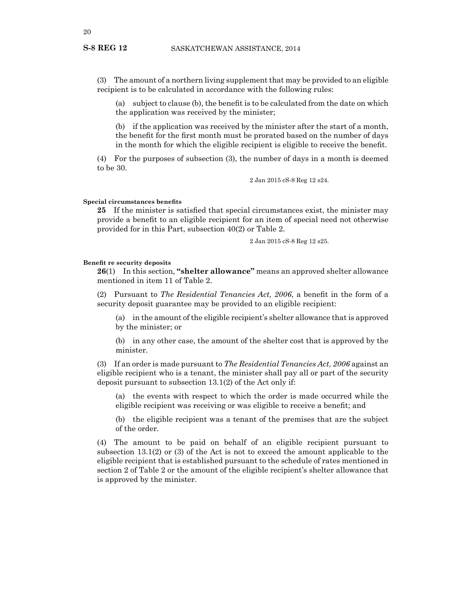(3) The amount of a northern living supplement that may be provided to an eligible recipient is to be calculated in accordance with the following rules:

(a) subject to clause (b), the benefit is to be calculated from the date on which the application was received by the minister;

(b) if the application was received by the minister after the start of a month, the benefit for the first month must be prorated based on the number of days in the month for which the eligible recipient is eligible to receive the benefit.

(4) For the purposes of subsection (3), the number of days in a month is deemed to be 30.

2 Jan 2015 cS-8 Reg 12 s24.

#### **Special circumstances benefits**

**25** If the minister is satisfied that special circumstances exist, the minister may provide a benefit to an eligible recipient for an item of special need not otherwise provided for in this Part, subsection 40(2) or Table 2.

2 Jan 2015 cS-8 Reg 12 s25.

#### **Benefit re security deposits**

**26**(1) In this section, **"shelter allowance"** means an approved shelter allowance mentioned in item 11 of Table 2.

(2) Pursuant to *The Residential Tenancies Act, 2006*, a benefit in the form of a security deposit guarantee may be provided to an eligible recipient:

(a) in the amount of the eligible recipient's shelter allowance that is approved by the minister; or

(b) in any other case, the amount of the shelter cost that is approved by the minister.

(3) If an order is made pursuant to *The Residential Tenancies Act, 2006* against an eligible recipient who is a tenant, the minister shall pay all or part of the security deposit pursuant to subsection 13.1(2) of the Act only if:

(a) the events with respect to which the order is made occurred while the eligible recipient was receiving or was eligible to receive a benefit; and

(b) the eligible recipient was a tenant of the premises that are the subject of the order.

(4) The amount to be paid on behalf of an eligible recipient pursuant to subsection 13.1(2) or (3) of the Act is not to exceed the amount applicable to the eligible recipient that is established pursuant to the schedule of rates mentioned in section 2 of Table 2 or the amount of the eligible recipient's shelter allowance that is approved by the minister.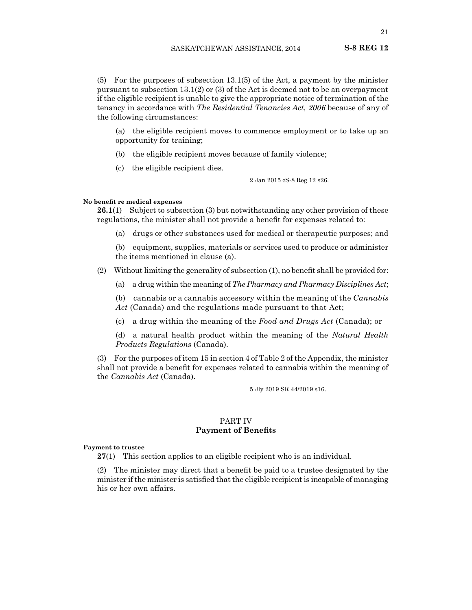(5) For the purposes of subsection 13.1(5) of the Act, a payment by the minister pursuant to subsection 13.1(2) or (3) of the Act is deemed not to be an overpayment if the eligible recipient is unable to give the appropriate notice of termination of the tenancy in accordance with *The Residential Tenancies Act, 2006* because of any of

(a) the eligible recipient moves to commence employment or to take up an opportunity for training;

- (b) the eligible recipient moves because of family violence;
- (c) the eligible recipient dies.

2 Jan 2015 cS-8 Reg 12 s26.

#### **No benefit re medical expenses**

the following circumstances:

**26.1**(1) Subject to subsection (3) but notwithstanding any other provision of these regulations, the minister shall not provide a benefit for expenses related to:

(a) drugs or other substances used for medical or therapeutic purposes; and

(b) equipment, supplies, materials or services used to produce or administer the items mentioned in clause (a).

(2) Without limiting the generality of subsection  $(1)$ , no benefit shall be provided for:

(a) a drug within the meaning of *The Pharmacy and Pharmacy Disciplines Act*;

(b) cannabis or a cannabis accessory within the meaning of the *Cannabis Act* (Canada) and the regulations made pursuant to that Act;

(c) a drug within the meaning of the *Food and Drugs Act* (Canada); or

(d) a natural health product within the meaning of the *Natural Health Products Regulations* (Canada).

(3) For the purposes of item 15 in section 4 of Table 2 of the Appendix, the minister shall not provide a benefit for expenses related to cannabis within the meaning of the *Cannabis Act* (Canada).

5 Jly 2019 SR 44/2019 s16.

# PART IV **Payment of Benefits**

#### **Payment to trustee**

**27**(1) This section applies to an eligible recipient who is an individual.

(2) The minister may direct that a benefit be paid to a trustee designated by the minister if the minister is satisfied that the eligible recipient is incapable of managing his or her own affairs.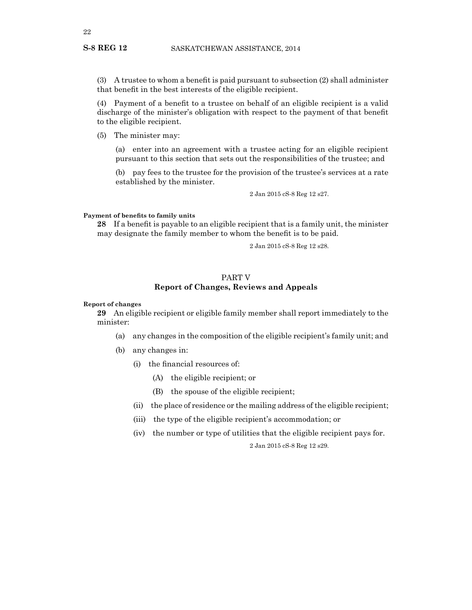(3) A trustee to whom a benefit is paid pursuant to subsection (2) shall administer that benefit in the best interests of the eligible recipient.

(4) Payment of a benefit to a trustee on behalf of an eligible recipient is a valid discharge of the minister's obligation with respect to the payment of that benefit to the eligible recipient.

(5) The minister may:

(a) enter into an agreement with a trustee acting for an eligible recipient pursuant to this section that sets out the responsibilities of the trustee; and

(b) pay fees to the trustee for the provision of the trustee's services at a rate established by the minister.

2 Jan 2015 cS-8 Reg 12 s27.

## **Payment of benefits to family units**

**28** If a benefit is payable to an eligible recipient that is a family unit, the minister may designate the family member to whom the benefit is to be paid.

2 Jan 2015 cS-8 Reg 12 s28.

## PART V **Report of Changes, Reviews and Appeals**

**Report of changes**

**29** An eligible recipient or eligible family member shall report immediately to the minister:

- (a) any changes in the composition of the eligible recipient's family unit; and
- (b) any changes in:
	- (i) the financial resources of:
		- (A) the eligible recipient; or
		- (B) the spouse of the eligible recipient;
	- (ii) the place of residence or the mailing address of the eligible recipient;
	- (iii) the type of the eligible recipient's accommodation; or
	- (iv) the number or type of utilities that the eligible recipient pays for.

2 Jan 2015 cS-8 Reg 12 s29.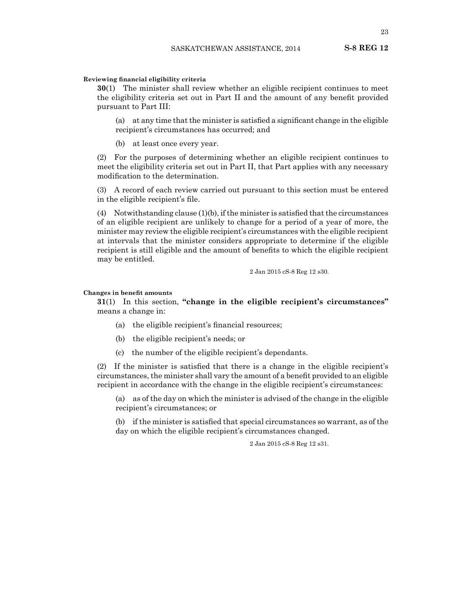**Reviewing financial eligibility criteria**

**30**(1) The minister shall review whether an eligible recipient continues to meet the eligibility criteria set out in Part II and the amount of any benefit provided pursuant to Part III:

(a) at any time that the minister is satisfied a significant change in the eligible recipient's circumstances has occurred; and

(b) at least once every year.

(2) For the purposes of determining whether an eligible recipient continues to meet the eligibility criteria set out in Part II, that Part applies with any necessary modification to the determination.

(3) A record of each review carried out pursuant to this section must be entered in the eligible recipient's file.

(4) Notwithstanding clause  $(1)(b)$ , if the minister is satisfied that the circumstances of an eligible recipient are unlikely to change for a period of a year of more, the minister may review the eligible recipient's circumstances with the eligible recipient at intervals that the minister considers appropriate to determine if the eligible recipient is still eligible and the amount of benefits to which the eligible recipient may be entitled.

2 Jan 2015 cS-8 Reg 12 s30.

#### **Changes in benefit amounts**

**31**(1) In this section, **"change in the eligible recipient's circumstances"** means a change in:

- (a) the eligible recipient's financial resources;
- (b) the eligible recipient's needs; or
- (c) the number of the eligible recipient's dependants.

(2) If the minister is satisfied that there is a change in the eligible recipient's circumstances, the minister shall vary the amount of a benefit provided to an eligible recipient in accordance with the change in the eligible recipient's circumstances:

(a) as of the day on which the minister is advised of the change in the eligible recipient's circumstances; or

(b) if the minister is satisfied that special circumstances so warrant, as of the day on which the eligible recipient's circumstances changed.

2 Jan 2015 cS-8 Reg 12 s31.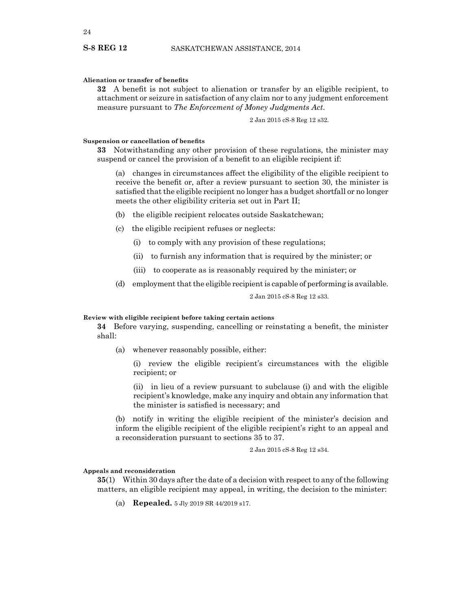#### **Alienation or transfer of benefits**

**32** A benefit is not subject to alienation or transfer by an eligible recipient, to attachment or seizure in satisfaction of any claim nor to any judgment enforcement measure pursuant to *The Enforcement of Money Judgments Act*.

2 Jan 2015 cS-8 Reg 12 s32.

#### **Suspension or cancellation of benefits**

**33** Notwithstanding any other provision of these regulations, the minister may suspend or cancel the provision of a benefit to an eligible recipient if:

(a) changes in circumstances affect the eligibility of the eligible recipient to receive the benefit or, after a review pursuant to section 30, the minister is satisfied that the eligible recipient no longer has a budget shortfall or no longer meets the other eligibility criteria set out in Part II;

- (b) the eligible recipient relocates outside Saskatchewan;
- (c) the eligible recipient refuses or neglects:
	- (i) to comply with any provision of these regulations;
	- (ii) to furnish any information that is required by the minister; or
	- (iii) to cooperate as is reasonably required by the minister; or
- (d) employment that the eligible recipient is capable of performing is available.

2 Jan 2015 cS-8 Reg 12 s33.

#### **Review with eligible recipient before taking certain actions**

**34** Before varying, suspending, cancelling or reinstating a benefit, the minister shall:

(a) whenever reasonably possible, either:

(i) review the eligible recipient's circumstances with the eligible recipient; or

(ii) in lieu of a review pursuant to subclause (i) and with the eligible recipient's knowledge, make any inquiry and obtain any information that the minister is satisfied is necessary; and

(b) notify in writing the eligible recipient of the minister's decision and inform the eligible recipient of the eligible recipient's right to an appeal and a reconsideration pursuant to sections 35 to 37.

2 Jan 2015 cS-8 Reg 12 s34.

#### **Appeals and reconsideration**

**35**(1) Within 30 days after the date of a decision with respect to any of the following matters, an eligible recipient may appeal, in writing, the decision to the minister:

(a) **Repealed.** 5 Jly 2019 SR 44/2019 s17.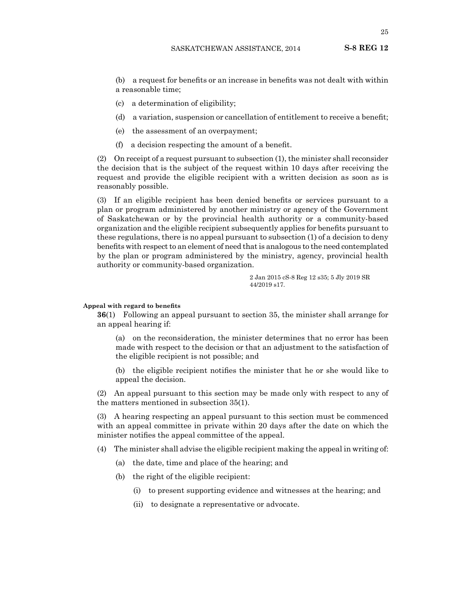(b) a request for benefits or an increase in benefits was not dealt with within a reasonable time;

- (c) a determination of eligibility;
- (d) a variation, suspension or cancellation of entitlement to receive a benefit;
- (e) the assessment of an overpayment;
- (f) a decision respecting the amount of a benefit.

(2) On receipt of a request pursuant to subsection (1), the minister shall reconsider the decision that is the subject of the request within 10 days after receiving the request and provide the eligible recipient with a written decision as soon as is reasonably possible.

(3) If an eligible recipient has been denied benefits or services pursuant to a plan or program administered by another ministry or agency of the Government of Saskatchewan or by the provincial health authority or a community-based organization and the eligible recipient subsequently applies for benefits pursuant to these regulations, there is no appeal pursuant to subsection (1) of a decision to deny benefits with respect to an element of need that is analogous to the need contemplated by the plan or program administered by the ministry, agency, provincial health authority or community-based organization.

> 2 Jan 2015 cS-8 Reg 12 s35; 5 Jly 2019 SR 44/2019 s17.

#### **Appeal with regard to benefits**

**36**(1) Following an appeal pursuant to section 35, the minister shall arrange for an appeal hearing if:

(a) on the reconsideration, the minister determines that no error has been made with respect to the decision or that an adjustment to the satisfaction of the eligible recipient is not possible; and

(b) the eligible recipient notifies the minister that he or she would like to appeal the decision.

(2) An appeal pursuant to this section may be made only with respect to any of the matters mentioned in subsection 35(1).

(3) A hearing respecting an appeal pursuant to this section must be commenced with an appeal committee in private within 20 days after the date on which the minister notifies the appeal committee of the appeal.

(4) The minister shall advise the eligible recipient making the appeal in writing of:

- (a) the date, time and place of the hearing; and
- (b) the right of the eligible recipient:
	- (i) to present supporting evidence and witnesses at the hearing; and
	- (ii) to designate a representative or advocate.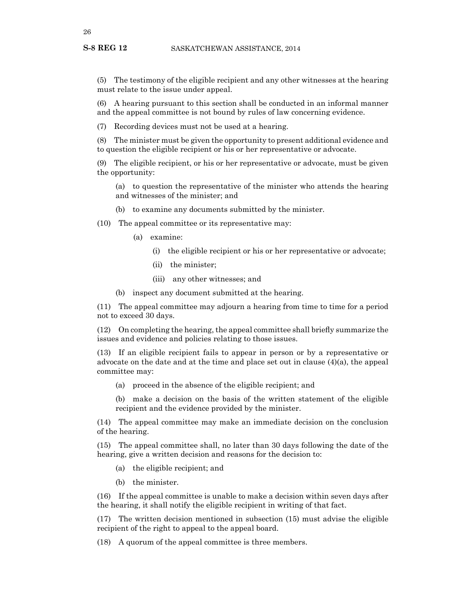(5) The testimony of the eligible recipient and any other witnesses at the hearing must relate to the issue under appeal.

(6) A hearing pursuant to this section shall be conducted in an informal manner and the appeal committee is not bound by rules of law concerning evidence.

(7) Recording devices must not be used at a hearing.

(8) The minister must be given the opportunity to present additional evidence and to question the eligible recipient or his or her representative or advocate.

(9) The eligible recipient, or his or her representative or advocate, must be given the opportunity:

(a) to question the representative of the minister who attends the hearing and witnesses of the minister; and

(b) to examine any documents submitted by the minister.

(10) The appeal committee or its representative may:

- (a) examine:
	- (i) the eligible recipient or his or her representative or advocate;
	- (ii) the minister;
	- (iii) any other witnesses; and
- (b) inspect any document submitted at the hearing.

(11) The appeal committee may adjourn a hearing from time to time for a period not to exceed 30 days.

(12) On completing the hearing, the appeal committee shall briefly summarize the issues and evidence and policies relating to those issues.

(13) If an eligible recipient fails to appear in person or by a representative or advocate on the date and at the time and place set out in clause  $(4)(a)$ , the appeal committee may:

- (a) proceed in the absence of the eligible recipient; and
- (b) make a decision on the basis of the written statement of the eligible recipient and the evidence provided by the minister.

(14) The appeal committee may make an immediate decision on the conclusion of the hearing.

(15) The appeal committee shall, no later than 30 days following the date of the hearing, give a written decision and reasons for the decision to:

- (a) the eligible recipient; and
- (b) the minister.

(16) If the appeal committee is unable to make a decision within seven days after the hearing, it shall notify the eligible recipient in writing of that fact.

(17) The written decision mentioned in subsection (15) must advise the eligible recipient of the right to appeal to the appeal board.

(18) A quorum of the appeal committee is three members.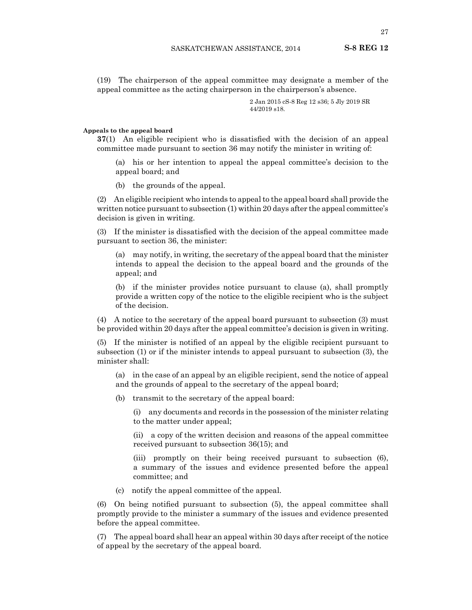(19) The chairperson of the appeal committee may designate a member of the appeal committee as the acting chairperson in the chairperson's absence.

> 2 Jan 2015 cS-8 Reg 12 s36; 5 Jly 2019 SR 44/2019 s18.

#### **Appeals to the appeal board**

**37**(1) An eligible recipient who is dissatisfied with the decision of an appeal committee made pursuant to section 36 may notify the minister in writing of:

(a) his or her intention to appeal the appeal committee's decision to the appeal board; and

(b) the grounds of the appeal.

(2) An eligible recipient who intends to appeal to the appeal board shall provide the written notice pursuant to subsection (1) within 20 days after the appeal committee's decision is given in writing.

(3) If the minister is dissatisfied with the decision of the appeal committee made pursuant to section 36, the minister:

(a) may notify, in writing, the secretary of the appeal board that the minister intends to appeal the decision to the appeal board and the grounds of the appeal; and

(b) if the minister provides notice pursuant to clause (a), shall promptly provide a written copy of the notice to the eligible recipient who is the subject of the decision.

(4) A notice to the secretary of the appeal board pursuant to subsection (3) must be provided within 20 days after the appeal committee's decision is given in writing.

(5) If the minister is notified of an appeal by the eligible recipient pursuant to subsection (1) or if the minister intends to appeal pursuant to subsection (3), the minister shall:

(a) in the case of an appeal by an eligible recipient, send the notice of appeal and the grounds of appeal to the secretary of the appeal board;

(b) transmit to the secretary of the appeal board:

(i) any documents and records in the possession of the minister relating to the matter under appeal;

(ii) a copy of the written decision and reasons of the appeal committee received pursuant to subsection 36(15); and

(iii) promptly on their being received pursuant to subsection (6), a summary of the issues and evidence presented before the appeal committee; and

(c) notify the appeal committee of the appeal.

(6) On being notified pursuant to subsection (5), the appeal committee shall promptly provide to the minister a summary of the issues and evidence presented before the appeal committee.

(7) The appeal board shall hear an appeal within 30 days after receipt of the notice of appeal by the secretary of the appeal board.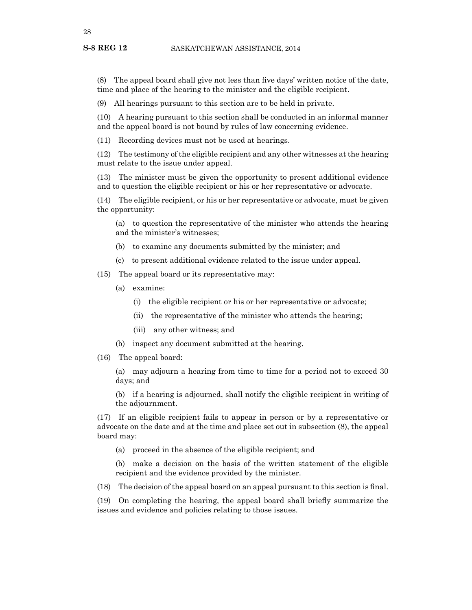(8) The appeal board shall give not less than five days' written notice of the date, time and place of the hearing to the minister and the eligible recipient.

(9) All hearings pursuant to this section are to be held in private.

(10) A hearing pursuant to this section shall be conducted in an informal manner and the appeal board is not bound by rules of law concerning evidence.

(11) Recording devices must not be used at hearings.

(12) The testimony of the eligible recipient and any other witnesses at the hearing must relate to the issue under appeal.

(13) The minister must be given the opportunity to present additional evidence and to question the eligible recipient or his or her representative or advocate.

(14) The eligible recipient, or his or her representative or advocate, must be given the opportunity:

(a) to question the representative of the minister who attends the hearing and the minister's witnesses;

- (b) to examine any documents submitted by the minister; and
- (c) to present additional evidence related to the issue under appeal.

(15) The appeal board or its representative may:

- (a) examine:
	- (i) the eligible recipient or his or her representative or advocate;
	- (ii) the representative of the minister who attends the hearing;
	- (iii) any other witness; and
- (b) inspect any document submitted at the hearing.
- (16) The appeal board:

(a) may adjourn a hearing from time to time for a period not to exceed 30 days; and

(b) if a hearing is adjourned, shall notify the eligible recipient in writing of the adjournment.

(17) If an eligible recipient fails to appear in person or by a representative or advocate on the date and at the time and place set out in subsection (8), the appeal board may:

(a) proceed in the absence of the eligible recipient; and

(b) make a decision on the basis of the written statement of the eligible recipient and the evidence provided by the minister.

(18) The decision of the appeal board on an appeal pursuant to this section is final.

(19) On completing the hearing, the appeal board shall briefly summarize the issues and evidence and policies relating to those issues.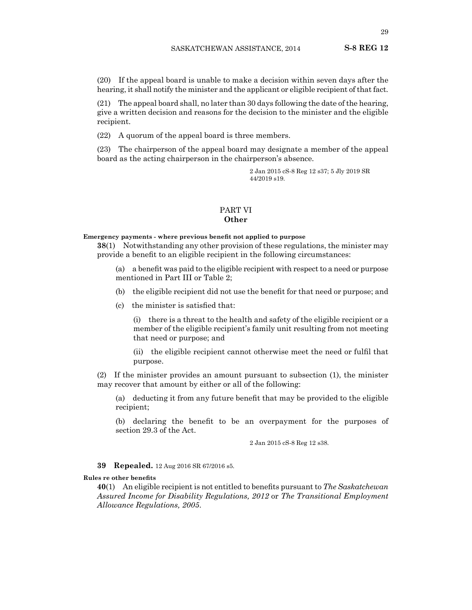(20) If the appeal board is unable to make a decision within seven days after the hearing, it shall notify the minister and the applicant or eligible recipient of that fact.

(21) The appeal board shall, no later than 30 days following the date of the hearing, give a written decision and reasons for the decision to the minister and the eligible recipient.

(22) A quorum of the appeal board is three members.

(23) The chairperson of the appeal board may designate a member of the appeal board as the acting chairperson in the chairperson's absence.

> 2 Jan 2015 cS-8 Reg 12 s37; 5 Jly 2019 SR 44/2019 s19.

# PART VI **Other**

**Emergency payments - where previous benefit not applied to purpose**

**38**(1) Notwithstanding any other provision of these regulations, the minister may provide a benefit to an eligible recipient in the following circumstances:

(a) a benefit was paid to the eligible recipient with respectto a need or purpose mentioned in Part III or Table 2;

- (b) the eligible recipient did not use the benefit for that need or purpose; and
- (c) the minister is satisfied that:

(i) there is a threat to the health and safety of the eligible recipient or a member of the eligible recipient's family unit resulting from not meeting that need or purpose; and

(ii) the eligible recipient cannot otherwise meet the need or fulfil that purpose.

(2) If the minister provides an amount pursuant to subsection (1), the minister may recover that amount by either or all of the following:

(a) deducting it from any future benefit that may be provided to the eligible recipient;

(b) declaring the benefit to be an overpayment for the purposes of section 29.3 of the Act.

2 Jan 2015 cS-8 Reg 12 s38.

#### **39 Repealed.** 12 Aug 2016 SR 67/2016 s5.

#### **Rules re other benefits**

**40**(1) An eligible recipient is not entitled to benefits pursuant to *The Saskatchewan Assured Income for Disability Regulations, 2012* or *The Transitional Employment Allowance Regulations, 2005*.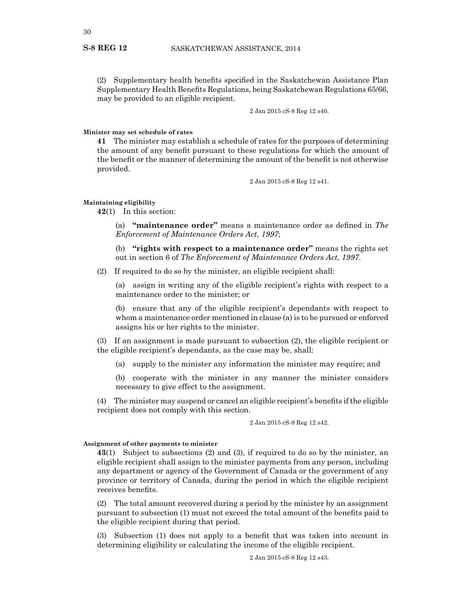(2) Supplementary health benefits specified in the Saskatchewan Assistance Plan Supplementary Health Benefits Regulations, being Saskatchewan Regulations 65/66, may be provided to an eligible recipient.

2 Jan 2015 cS-8 Reg 12 s40.

#### **Minister may set schedule of rates**

**41** The minister may establish a schedule of rates for the purposes of determining the amount of any benefit pursuant to these regulations for which the amount of the benefit or the manner of determining the amount of the benefit is not otherwise provided.

2 Jan 2015 cS-8 Reg 12 s41.

#### **Maintaining eligibility**

**42**(1) In this section:

(a) **"maintenance order"** means a maintenance order as defined in *The Enforcement of Maintenance Orders Act, 1997*;

(b) **"rights with respect to a maintenance order"** means the rights set out in section 6 of *The Enforcement of Maintenance Orders Act, 1997*.

(2) If required to do so by the minister, an eligible recipient shall:

(a) assign in writing any of the eligible recipient's rights with respect to a maintenance order to the minister; or

(b) ensure that any of the eligible recipient's dependants with respect to whom a maintenance order mentioned in clause (a) is to be pursued or enforced assigns his or her rights to the minister.

(3) If an assignment is made pursuant to subsection (2), the eligible recipient or the eligible recipient's dependants, as the case may be, shall:

(a) supply to the minister any information the minister may require; and

(b) cooperate with the minister in any manner the minister considers necessary to give effect to the assignment.

(4) The minister may suspend or cancel an eligible recipient's benefits ifthe eligible recipient does not comply with this section.

2 Jan 2015 cS-8 Reg 12 s42.

## **Assignment of other payments to minister**

**43**(1) Subject to subsections (2) and (3), if required to do so by the minister, an eligible recipient shall assign to the minister payments from any person, including any department or agency of the Government of Canada or the government of any province or territory of Canada, during the period in which the eligible recipient receives benefits.

(2) The total amount recovered during a period by the minister by an assignment pursuant to subsection (1) must not exceed the total amount of the benefits paid to the eligible recipient during that period.

(3) Subsection (1) does not apply to a benefit that was taken into account in determining eligibility or calculating the income of the eligible recipient.

2 Jan 2015 cS-8 Reg 12 s43.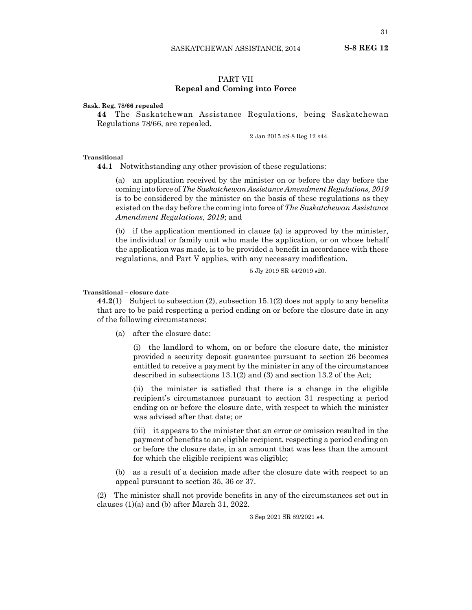# PART VII **Repeal and Coming into Force**

#### **Sask. Reg. 78/66 repealed**

**44** The Saskatchewan Assistance Regulations, being Saskatchewan Regulations 78/66, are repealed.

2 Jan 2015 cS-8 Reg 12 s44.

#### **Transitional**

**44.1** Notwithstanding any other provision of these regulations:

(a) an application received by the minister on or before the day before the coming into force of *The Saskatchewan Assistance Amendment Regulations, 2019* is to be considered by the minister on the basis of these regulations as they existed on the day before the coming into force of *The Saskatchewan Assistance Amendment Regulations, 2019*; and

(b) if the application mentioned in clause (a) is approved by the minister, the individual or family unit who made the application, or on whose behalf the application was made, is to be provided a benefit in accordance with these regulations, and Part V applies, with any necessary modification.

5 Jly 2019 SR 44/2019 s20.

#### **Transitional – closure date**

**44.2**(1) Subject to subsection (2), subsection 15.1(2) does not apply to any benefits that are to be paid respecting a period ending on or before the closure date in any of the following circumstances:

(a) after the closure date:

(i) the landlord to whom, on or before the closure date, the minister provided a security deposit guarantee pursuant to section 26 becomes entitled to receive a payment by the minister in any of the circumstances described in subsections 13.1(2) and (3) and section 13.2 of the Act;

(ii) the minister is satisfied that there is a change in the eligible recipient's circumstances pursuant to section 31 respecting a period ending on or before the closure date, with respect to which the minister was advised after that date; or

(iii) it appears to the minister that an error or omission resulted in the payment of benefits to an eligible recipient, respecting a period ending on or before the closure date, in an amount that was less than the amount for which the eligible recipient was eligible;

(b) as a result of a decision made after the closure date with respect to an appeal pursuant to section 35, 36 or 37.

(2) The minister shall not provide benefits in any of the circumstances set out in clauses (1)(a) and (b) after March 31, 2022.

3 Sep 2021 SR 89/2021 s4.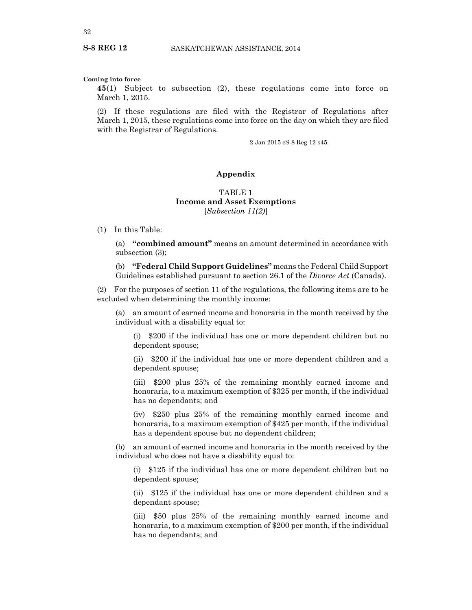#### **Coming into force**

**45**(1) Subject to subsection (2), these regulations come into force on March 1, 2015.

(2) If these regulations are filed with the Registrar of Regulations after March 1, 2015, these regulations come into force on the day on which they are filed with the Registrar of Regulations.

2 Jan 2015 cS-8 Reg 12 s45.

### **Appendix**

## TABLE 1 **Income and Asset Exemptions** [*Subsection 11(2)*]

#### (1) In this Table:

(a) **"combined amount"** means an amount determined in accordance with subsection (3);

(b) **"Federal Child Support Guidelines"** means the Federal Child Support Guidelines established pursuant to section 26.1 of the *Divorce Act* (Canada).

(2) For the purposes of section 11 of the regulations, the following items are to be excluded when determining the monthly income:

(a) an amount of earned income and honoraria in the month received by the individual with a disability equal to:

(i) \$200 if the individual has one or more dependent children but no dependent spouse;

(ii) \$200 if the individual has one or more dependent children and a dependent spouse;

(iii) \$200 plus 25% of the remaining monthly earned income and honoraria, to a maximum exemption of \$325 per month, if the individual has no dependants; and

(iv) \$250 plus 25% of the remaining monthly earned income and honoraria, to a maximum exemption of \$425 per month, if the individual has a dependent spouse but no dependent children;

(b) an amount of earned income and honoraria in the month received by the individual who does not have a disability equal to:

(i) \$125 if the individual has one or more dependent children but no dependent spouse;

(ii) \$125 if the individual has one or more dependent children and a dependant spouse;

(iii) \$50 plus 25% of the remaining monthly earned income and honoraria, to a maximum exemption of \$200 per month, if the individual has no dependants; and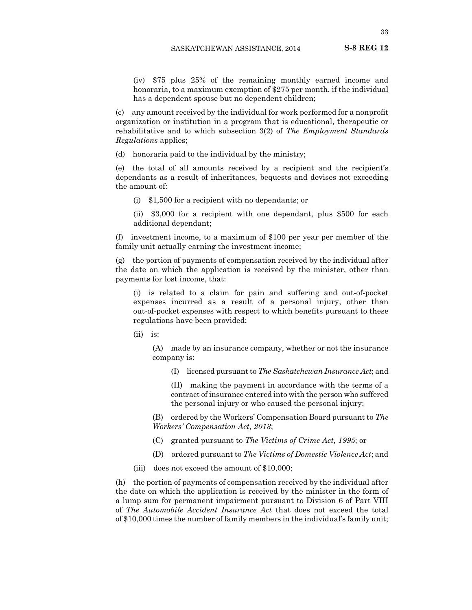(iv) \$75 plus 25% of the remaining monthly earned income and honoraria, to a maximum exemption of \$275 per month, if the individual has a dependent spouse but no dependent children;

(c) any amount received by the individual for work performed for a nonprofit organization or institution in a program that is educational, therapeutic or rehabilitative and to which subsection 3(2) of *The Employment Standards Regulations* applies;

(d) honoraria paid to the individual by the ministry;

(e) the total of all amounts received by a recipient and the recipient's dependants as a result of inheritances, bequests and devises not exceeding the amount of:

(i) \$1,500 for a recipient with no dependants; or

(ii) \$3,000 for a recipient with one dependant, plus \$500 for each additional dependant;

(f) investment income, to a maximum of \$100 per year per member of the family unit actually earning the investment income;

(g) the portion of payments of compensation received by the individual after the date on which the application is received by the minister, other than payments for lost income, that:

(i) is related to a claim for pain and suffering and out-of-pocket expenses incurred as a result of a personal injury, other than out-of-pocket expenses with respect to which benefits pursuant to these regulations have been provided;

(ii) is:

(A) made by an insurance company, whether or not the insurance company is:

(I) licensed pursuant to *The Saskatchewan Insurance Act*; and

(II) making the payment in accordance with the terms of a contract of insurance entered into with the person who suffered the personal injury or who caused the personal injury;

(B) ordered by the Workers' Compensation Board pursuant to *The Workers' Compensation Act, 2013*;

- (C) granted pursuant to *The Victims of Crime Act, 1995*; or
- (D) ordered pursuant to *The Victims of Domestic Violence Act*; and
- (iii) does not exceed the amount of \$10,000;

(h) the portion of payments of compensation received by the individual after the date on which the application is received by the minister in the form of a lump sum for permanent impairment pursuant to Division 6 of Part VIII of *The Automobile Accident Insurance Act* that does not exceed the total of \$10,000 times the number of family members in the individual's family unit;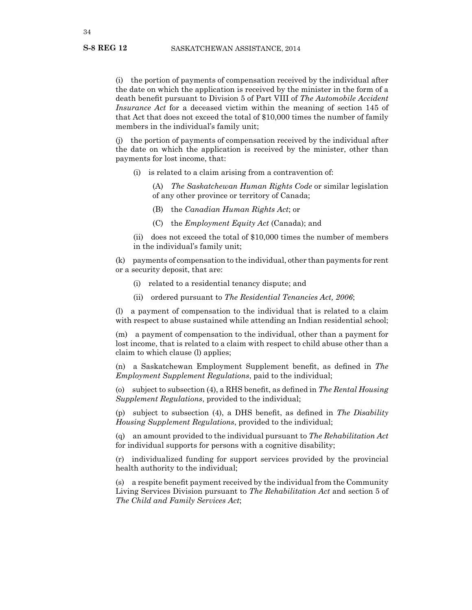(i) the portion of payments of compensation received by the individual after the date on which the application is received by the minister in the form of a death benefit pursuant to Division 5 of Part VIII of *The Automobile Accident Insurance Act* for a deceased victim within the meaning of section 145 of that Act that does not exceed the total of \$10,000 times the number of family members in the individual's family unit;

(j) the portion of payments of compensation received by the individual after the date on which the application is received by the minister, other than payments for lost income, that:

(i) is related to a claim arising from a contravention of:

(A) *The Saskatchewan Human Rights Code* or similar legislation of any other province or territory of Canada;

- (B) the *Canadian Human Rights Act*; or
- (C) the *Employment Equity Act* (Canada); and

(ii) does not exceed the total of \$10,000 times the number of members in the individual's family unit;

(k) payments of compensation to the individual, other than payments for rent or a security deposit, that are:

- (i) related to a residential tenancy dispute; and
- (ii) ordered pursuant to *The Residential Tenancies Act, 2006*;

(l) a payment of compensation to the individual that is related to a claim with respect to abuse sustained while attending an Indian residential school;

(m) a payment of compensation to the individual, other than a payment for lost income, that is related to a claim with respect to child abuse other than a claim to which clause (l) applies;

(n) a Saskatchewan Employment Supplement benefit, as defined in *The Employment Supplement Regulations*, paid to the individual;

(o) subject to subsection (4), a RHS benefit, as defined in *The Rental Housing Supplement Regulations*, provided to the individual;

(p) subject to subsection (4), a DHS benefit, as defined in *The Disability Housing Supplement Regulations*, provided to the individual;

(q) an amount provided to the individual pursuant to *The Rehabilitation Act* for individual supports for persons with a cognitive disability;

(r) individualized funding for support services provided by the provincial health authority to the individual;

(s) a respite benefit payment received by the individual from the Community Living Services Division pursuant to *The Rehabilitation Act* and section 5 of *The Child and Family Services Act*;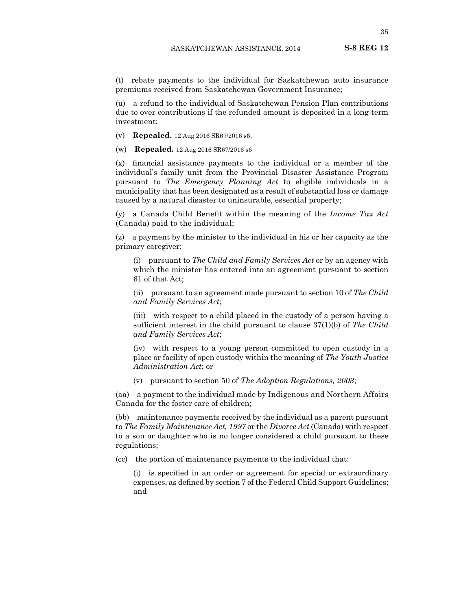(t) rebate payments to the individual for Saskatchewan auto insurance premiums received from Saskatchewan Government Insurance;

(u) a refund to the individual of Saskatchewan Pension Plan contributions due to over contributions if the refunded amount is deposited in a long-term investment;

(v) **Repealed.** 12 Aug 2016 SR67/2016 s6.

(w) **Repealed.** 12 Aug 2016 SR67/2016 s6

(x) financial assistance payments to the individual or a member of the individual's family unit from the Provincial Disaster Assistance Program pursuant to *The Emergency Planning Act* to eligible individuals in a municipality that has been designated as a result of substantial loss or damage caused by a natural disaster to uninsurable, essential property;

(y) a Canada Child Benefit within the meaning of the *Income Tax Act* (Canada) paid to the individual;

(z) a payment by the minister to the individual in his or her capacity as the primary caregiver:

(i) pursuant to *The Child and Family Services Act* or by an agency with which the minister has entered into an agreement pursuant to section 61 of that Act;

(ii) pursuant to an agreement made pursuant to section 10 of *The Child and Family Services Act*;

(iii) with respect to a child placed in the custody of a person having a sufficient interest in the child pursuant to clause 37(1)(b) of *The Child and Family Services Act*;

(iv) with respect to a young person committed to open custody in a place or facility of open custody within the meaning of *The Youth Justice Administration Act*; or

(v) pursuant to section 50 of *The Adoption Regulations, 2003*;

(aa) a payment to the individual made by Indigenous and Northern Affairs Canada for the foster care of children;

(bb) maintenance payments received by the individual as a parent pursuant to *The Family Maintenance Act, 1997* or the *Divorce Act* (Canada) with respect to a son or daughter who is no longer considered a child pursuant to these regulations;

(cc) the portion of maintenance payments to the individual that:

(i) is specified in an order or agreement for special or extraordinary expenses, as defined by section 7 of the Federal Child Support Guidelines; and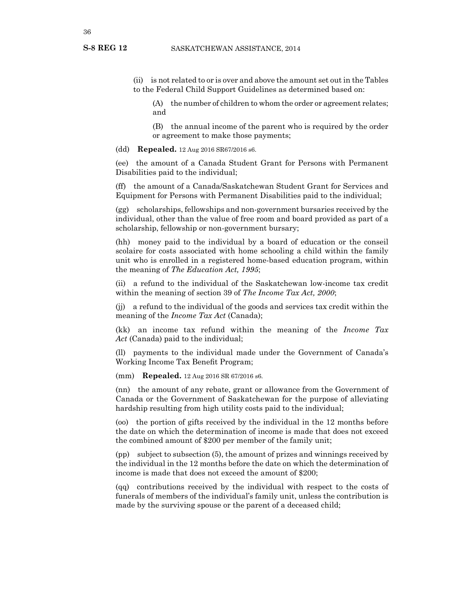(ii) is not related to or is over and above the amount set out in the Tables to the Federal Child Support Guidelines as determined based on:

(A) the number of children to whom the order or agreement relates; and

(B) the annual income of the parent who is required by the order or agreement to make those payments;

(dd) **Repealed.** 12 Aug 2016 SR67/2016 s6.

(ee) the amount of a Canada Student Grant for Persons with Permanent Disabilities paid to the individual;

(ff) the amount of a Canada/Saskatchewan Student Grant for Services and Equipment for Persons with Permanent Disabilities paid to the individual;

(gg) scholarships, fellowships and non-government bursaries received by the individual, other than the value of free room and board provided as part of a scholarship, fellowship or non-government bursary;

(hh) money paid to the individual by a board of education or the conseil scolaire for costs associated with home schooling a child within the family unit who is enrolled in a registered home-based education program, within the meaning of *The Education Act, 1995*;

(ii) a refund to the individual of the Saskatchewan low-income tax credit within the meaning of section 39 of *The Income Tax Act, 2000*;

(jj) a refund to the individual of the goods and services tax credit within the meaning of the *Income Tax Act* (Canada);

(kk) an income tax refund within the meaning of the *Income Tax Act* (Canada) paid to the individual;

(ll) payments to the individual made under the Government of Canada's Working Income Tax Benefit Program;

(mm) **Repealed.** 12 Aug 2016 SR 67/2016 s6.

(nn) the amount of any rebate, grant or allowance from the Government of Canada or the Government of Saskatchewan for the purpose of alleviating hardship resulting from high utility costs paid to the individual;

(oo) the portion of gifts received by the individual in the 12 months before the date on which the determination of income is made that does not exceed the combined amount of \$200 per member of the family unit;

(pp) subject to subsection (5), the amount of prizes and winnings received by the individual in the 12 months before the date on which the determination of income is made that does not exceed the amount of \$200;

(qq) contributions received by the individual with respect to the costs of funerals of members of the individual's family unit, unless the contribution is made by the surviving spouse or the parent of a deceased child;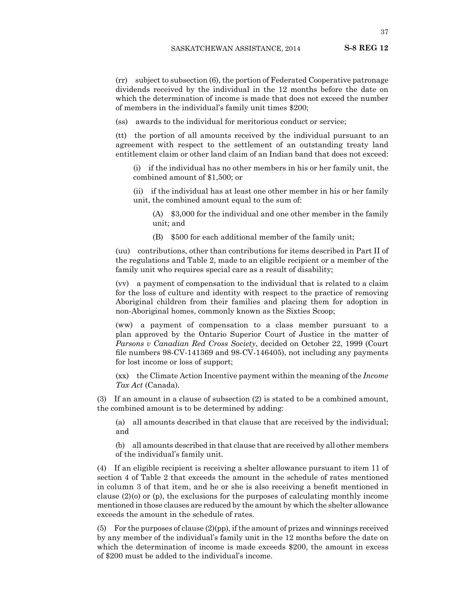(rr) subject to subsection (6), the portion of Federated Cooperative patronage dividends received by the individual in the 12 months before the date on which the determination of income is made that does not exceed the number of members in the individual's family unit times \$200;

(ss) awards to the individual for meritorious conduct or service;

(tt) the portion of all amounts received by the individual pursuant to an agreement with respect to the settlement of an outstanding treaty land entitlement claim or other land claim of an Indian band that does not exceed:

(i) if the individual has no other members in his or her family unit, the combined amount of \$1,500; or

(ii) if the individual has at least one other member in his or her family unit, the combined amount equal to the sum of:

(A) \$3,000 for the individual and one other member in the family unit; and

(B) \$500 for each additional member of the family unit;

(uu) contributions, other than contributions for items described in Part II of the regulations and Table 2, made to an eligible recipient or a member of the family unit who requires special care as a result of disability;

(vv) a payment of compensation to the individual that is related to a claim for the loss of culture and identity with respect to the practice of removing Aboriginal children from their families and placing them for adoption in non-Aboriginal homes, commonly known as the Sixties Scoop;

(ww) a payment of compensation to a class member pursuant to a plan approved by the Ontario Superior Court of Justice in the matter of *Parsons v Canadian Red Cross Society*, decided on October 22, 1999 (Court file numbers  $98$ -CV-141369 and  $98$ -CV-146405), not including any payments for lost income or loss of support;

(xx) the Climate Action Incentive payment within the meaning of the *Income Tax Act* (Canada).

(3) If an amount in a clause of subsection (2) is stated to be a combined amount, the combined amount is to be determined by adding:

(a) all amounts described in that clause that are received by the individual; and

(b) all amounts described in that clause that are received by all other members of the individual's family unit.

(4) If an eligible recipient is receiving a shelter allowance pursuant to item 11 of section 4 of Table 2 that exceeds the amount in the schedule of rates mentioned in column 3 of that item, and he or she is also receiving a benefit mentioned in clause  $(2)(0)$  or  $(p)$ , the exclusions for the purposes of calculating monthly income mentioned in those clauses are reduced by the amount by which the shelter allowance exceeds the amount in the schedule of rates.

(5) For the purposes of clause  $(2)(pp)$ , if the amount of prizes and winnings received by any member of the individual's family unit in the 12 months before the date on which the determination of income is made exceeds \$200, the amount in excess of \$200 must be added to the individual's income.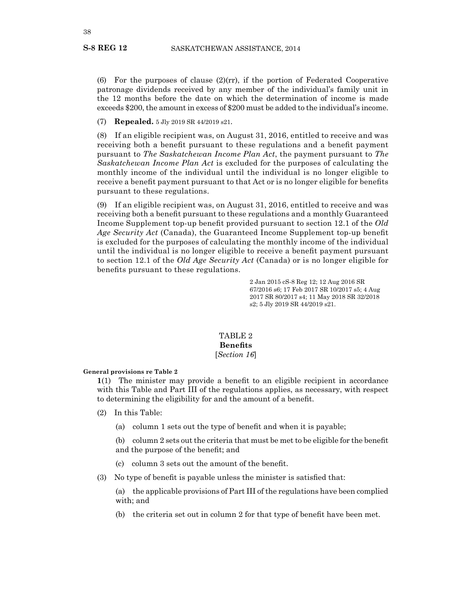(6) For the purposes of clause  $(2)(rr)$ , if the portion of Federated Cooperative patronage dividends received by any member of the individual's family unit in the 12 months before the date on which the determination of income is made exceeds \$200, the amount in excess of \$200 must be added to the individual's income.

(7) **Repealed.** 5 Jly 2019 SR 44/2019 s21.

(8) If an eligible recipient was, on August 31, 2016, entitled to receive and was receiving both a benefit pursuant to these regulations and a benefit payment pursuant to *The Saskatchewan Income Plan Act*, the payment pursuant to *The Saskatchewan Income Plan Act* is excluded for the purposes of calculating the monthly income of the individual until the individual is no longer eligible to receive a benefit payment pursuant to that Act or is no longer eligible for benefits pursuant to these regulations.

(9) If an eligible recipient was, on August 31, 2016, entitled to receive and was receiving both a benefit pursuant to these regulations and a monthly Guaranteed Income Supplement top-up benefit provided pursuant to section 12.1 of the *Old Age Security Act* (Canada), the Guaranteed Income Supplement top-up benefit is excluded for the purposes of calculating the monthly income of the individual until the individual is no longer eligible to receive a benefit payment pursuant to section 12.1 of the *Old Age Security Act* (Canada) or is no longer eligible for benefits pursuant to these regulations.

> 2 Jan 2015 cS-8 Reg 12; 12 Aug 2016 SR 67/2016 s6; 17 Feb 2017 SR 10/2017 s5; 4 Aug 2017 SR 80/2017 s4; 11 May 2018 SR 32/2018 s2; 5 Jly 2019 SR 44/2019 s21.

# TABLE 2 **Benefits** [*Section 16*]

#### **General provisions re Table 2**

**1**(1) The minister may provide a benefit to an eligible recipient in accordance with this Table and Part III of the regulations applies, as necessary, with respect to determining the eligibility for and the amount of a benefit.

- (2) In this Table:
	- (a) column 1 sets out the type of benefit and when it is payable;

(b) column 2 sets out the criteria that must be met to be eligible for the benefit and the purpose of the benefit; and

- (c) column 3 sets out the amount of the benefit.
- (3) No type of benefit is payable unless the minister is satisfied that:

(a) the applicable provisions of Part III of the regulations have been complied with; and

(b) the criteria set out in column 2 for that type of benefit have been met.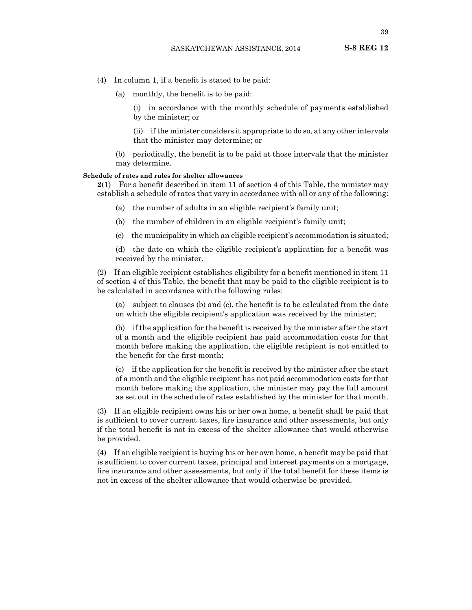- (4) In column 1, if a benefit is stated to be paid:
	- (a) monthly, the benefit is to be paid:

(i) in accordance with the monthly schedule of payments established by the minister; or

(ii) if the minister considers it appropriate to do so, at any other intervals that the minister may determine; or

(b) periodically, the benefit is to be paid at those intervals that the minister may determine.

#### **Schedule of rates and rules for shelter allowances**

**2**(1) For a benefit described in item 11 of section 4 of this Table, the minister may establish a schedule of rates that vary in accordance with all or any of the following:

- (a) the number of adults in an eligible recipient's family unit;
- (b) the number of children in an eligible recipient's family unit;
- (c) the municipality in which an eligible recipient's accommodation is situated;

(d) the date on which the eligible recipient's application for a benefit was received by the minister.

(2) If an eligible recipient establishes eligibility for a benefit mentioned in item 11 of section 4 of this Table, the benefit that may be paid to the eligible recipient is to be calculated in accordance with the following rules:

(a) subject to clauses (b) and (c), the benefit is to be calculated from the date on which the eligible recipient's application was received by the minister;

(b) if the application for the benefit is received by the minister after the start of a month and the eligible recipient has paid accommodation costs for that month before making the application, the eligible recipient is not entitled to the benefit for the first month;

(c) if the application for the benefit is received by the minister after the start of a month and the eligible recipient has not paid accommodation costs for that month before making the application, the minister may pay the full amount as set out in the schedule of rates established by the minister for that month.

(3) If an eligible recipient owns his or her own home, a benefit shall be paid that is sufficient to cover current taxes, fire insurance and other assessments, but only if the total benefit is not in excess of the shelter allowance that would otherwise be provided.

(4) If an eligible recipient is buying his or her own home, a benefit may be paid that is sufficient to cover current taxes, principal and interest payments on a mortgage, fire insurance and other assessments, but only if the total benefit for these items is not in excess of the shelter allowance that would otherwise be provided.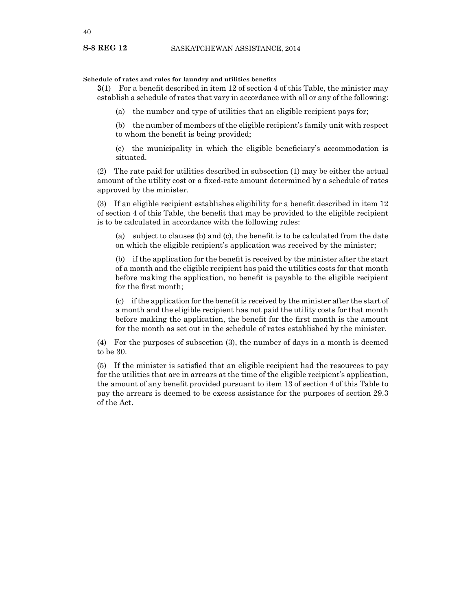#### **Schedule of rates and rules for laundry and utilities benefits**

**3**(1) For a benefit described in item 12 of section 4 of this Table, the minister may establish a schedule of rates that vary in accordance with all or any of the following:

(a) the number and type of utilities that an eligible recipient pays for;

(b) the number of members of the eligible recipient's family unit with respect to whom the benefit is being provided;

(c) the municipality in which the eligible beneficiary's accommodation is situated.

(2) The rate paid for utilities described in subsection (1) may be either the actual amount of the utility cost or a fixed-rate amount determined by a schedule of rates approved by the minister.

(3) If an eligible recipient establishes eligibility for a benefit described in item 12 of section 4 of this Table, the benefit that may be provided to the eligible recipient is to be calculated in accordance with the following rules:

(a) subject to clauses (b) and (c), the benefit is to be calculated from the date on which the eligible recipient's application was received by the minister;

(b) if the application for the benefit is received by the minister after the start of a month and the eligible recipient has paid the utilities costs for that month before making the application, no benefit is payable to the eligible recipient for the first month;

(c) ifthe application for the benefitis received by the minister after the start of a month and the eligible recipient has not paid the utility costs for that month before making the application, the benefit for the first month is the amount for the month as set out in the schedule of rates established by the minister.

(4) For the purposes of subsection (3), the number of days in a month is deemed to be 30.

(5) If the minister is satisfied that an eligible recipient had the resources to pay for the utilities that are in arrears at the time of the eligible recipient's application, the amount of any benefit provided pursuant to item 13 of section 4 of this Table to pay the arrears is deemed to be excess assistance for the purposes of section 29.3 of the Act.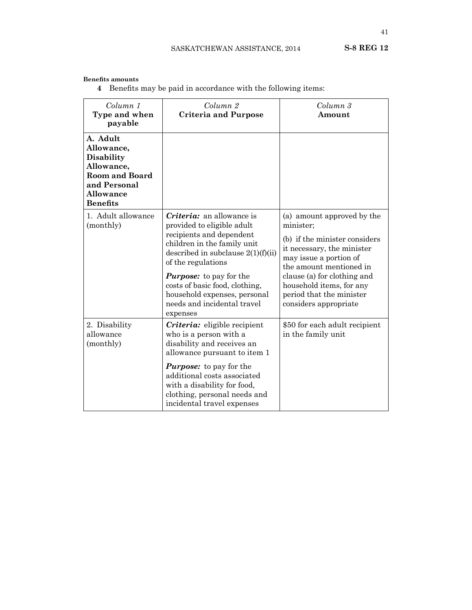# **Benefits amounts**

**4** Benefits may be paid in accordance with the following items:

| Column 1<br>Type and when<br>payable                                                                                               | $Column\ 2$<br><b>Criteria and Purpose</b>                                                                                                                                                                                                                                                                                             | Column <sub>3</sub><br>Amount                                                                                                                                                                                                                                               |
|------------------------------------------------------------------------------------------------------------------------------------|----------------------------------------------------------------------------------------------------------------------------------------------------------------------------------------------------------------------------------------------------------------------------------------------------------------------------------------|-----------------------------------------------------------------------------------------------------------------------------------------------------------------------------------------------------------------------------------------------------------------------------|
| A. Adult<br>Allowance,<br><b>Disability</b><br>Allowance,<br><b>Room and Board</b><br>and Personal<br>Allowance<br><b>Benefits</b> |                                                                                                                                                                                                                                                                                                                                        |                                                                                                                                                                                                                                                                             |
| 1. Adult allowance<br>(monthly)                                                                                                    | <i>Criteria:</i> an allowance is<br>provided to eligible adult<br>recipients and dependent<br>children in the family unit<br>described in subclause $2(1)(f)(ii)$<br>of the regulations<br><b>Purpose:</b> to pay for the<br>costs of basic food, clothing,<br>household expenses, personal<br>needs and incidental travel<br>expenses | (a) amount approved by the<br>minister;<br>(b) if the minister considers<br>it necessary, the minister<br>may issue a portion of<br>the amount mentioned in<br>clause (a) for clothing and<br>household items, for any<br>period that the minister<br>considers appropriate |
| 2. Disability<br>allowance<br>(monthly)                                                                                            | Criteria: eligible recipient<br>who is a person with a<br>disability and receives an<br>allowance pursuant to item 1<br><b>Purpose:</b> to pay for the<br>additional costs associated<br>with a disability for food,<br>clothing, personal needs and<br>incidental travel expenses                                                     | \$50 for each adult recipient<br>in the family unit                                                                                                                                                                                                                         |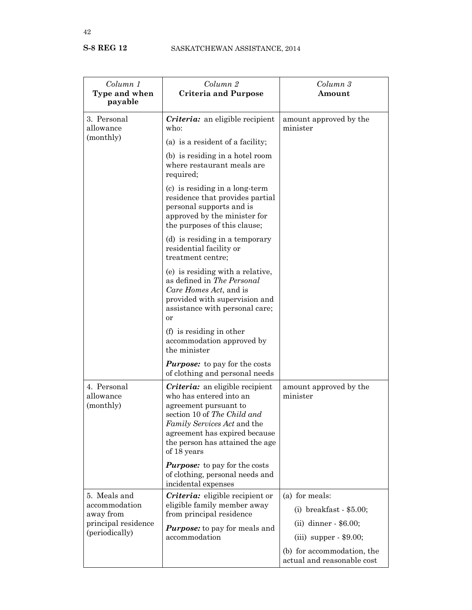| Column 1<br>Type and when<br>payable       | Column <sub>2</sub><br><b>Criteria and Purpose</b>                                                                                                                                                                                   | Column 3<br>Amount                                       |
|--------------------------------------------|--------------------------------------------------------------------------------------------------------------------------------------------------------------------------------------------------------------------------------------|----------------------------------------------------------|
| 3. Personal<br>allowance                   | Criteria: an eligible recipient<br>who:                                                                                                                                                                                              | amount approved by the<br>minister                       |
| (monthly)                                  | (a) is a resident of a facility;                                                                                                                                                                                                     |                                                          |
|                                            | (b) is residing in a hotel room<br>where restaurant meals are<br>required;                                                                                                                                                           |                                                          |
|                                            | (c) is residing in a long-term<br>residence that provides partial<br>personal supports and is<br>approved by the minister for<br>the purposes of this clause;                                                                        |                                                          |
|                                            | (d) is residing in a temporary<br>residential facility or<br>treatment centre;                                                                                                                                                       |                                                          |
|                                            | (e) is residing with a relative,<br>as defined in The Personal<br>Care Homes Act, and is<br>provided with supervision and<br>assistance with personal care;<br>or                                                                    |                                                          |
|                                            | (f) is residing in other<br>accommodation approved by<br>the minister                                                                                                                                                                |                                                          |
|                                            | <b>Purpose:</b> to pay for the costs<br>of clothing and personal needs                                                                                                                                                               |                                                          |
| 4. Personal<br>allowance<br>(monthly)      | Criteria: an eligible recipient<br>who has entered into an<br>agreement pursuant to<br>section 10 of The Child and<br>Family Services Act and the<br>agreement has expired because<br>the person has attained the age<br>of 18 years | amount approved by the<br>minister                       |
|                                            | <b>Purpose:</b> to pay for the costs<br>of clothing, personal needs and<br>incidental expenses                                                                                                                                       |                                                          |
| 5. Meals and<br>accommodation<br>away from | Criteria: eligible recipient or                                                                                                                                                                                                      | (a) for meals:                                           |
|                                            | eligible family member away<br>from principal residence                                                                                                                                                                              | $(i)$ breakfast - \$5.00;                                |
| principal residence                        | <b>Purpose:</b> to pay for meals and<br>accommodation                                                                                                                                                                                | $(ii)$ dinner $-$ \$6.00;                                |
| (periodically)                             |                                                                                                                                                                                                                                      | $(iii)$ supper $-$ \$9.00;                               |
|                                            |                                                                                                                                                                                                                                      | (b) for accommodation, the<br>actual and reasonable cost |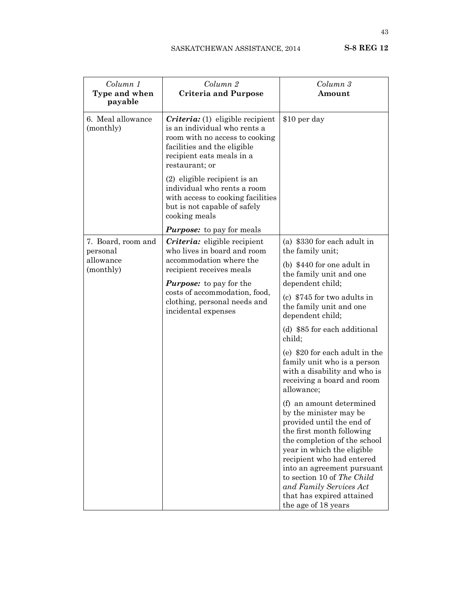| Column 1<br>Type and when<br>payable | Column 2<br><b>Criteria and Purpose</b>                                                                                                                                                 | Column 3<br>Amount                                                                                                                                                                                                                                                                                                                                 |
|--------------------------------------|-----------------------------------------------------------------------------------------------------------------------------------------------------------------------------------------|----------------------------------------------------------------------------------------------------------------------------------------------------------------------------------------------------------------------------------------------------------------------------------------------------------------------------------------------------|
| 6. Meal allowance<br>(monthly)       | <i>Criteria:</i> (1) eligible recipient<br>is an individual who rents a<br>room with no access to cooking<br>facilities and the eligible<br>recipient eats meals in a<br>restaurant; or | \$10 per day                                                                                                                                                                                                                                                                                                                                       |
|                                      | (2) eligible recipient is an<br>individual who rents a room<br>with access to cooking facilities<br>but is not capable of safely<br>cooking meals                                       |                                                                                                                                                                                                                                                                                                                                                    |
|                                      | <b>Purpose:</b> to pay for meals                                                                                                                                                        |                                                                                                                                                                                                                                                                                                                                                    |
| 7. Board, room and<br>personal       | Criteria: eligible recipient<br>who lives in board and room                                                                                                                             | (a) \$330 for each adult in<br>the family unit;                                                                                                                                                                                                                                                                                                    |
| allowance<br>(monthly)               | accommodation where the<br>recipient receives meals<br><b>Purpose:</b> to pay for the<br>costs of accommodation, food,<br>clothing, personal needs and<br>incidental expenses           | (b) $$440$ for one adult in<br>the family unit and one<br>dependent child;                                                                                                                                                                                                                                                                         |
|                                      |                                                                                                                                                                                         | (c) \$745 for two adults in<br>the family unit and one<br>dependent child;                                                                                                                                                                                                                                                                         |
|                                      |                                                                                                                                                                                         | (d) \$85 for each additional<br>child;                                                                                                                                                                                                                                                                                                             |
|                                      |                                                                                                                                                                                         | (e) \$20 for each adult in the<br>family unit who is a person<br>with a disability and who is<br>receiving a board and room<br>allowance;                                                                                                                                                                                                          |
|                                      |                                                                                                                                                                                         | (f) an amount determined<br>by the minister may be<br>provided until the end of<br>the first month following<br>the completion of the school<br>year in which the eligible<br>recipient who had entered<br>into an agreement pursuant<br>to section 10 of The Child<br>and Family Services Act<br>that has expired attained<br>the age of 18 years |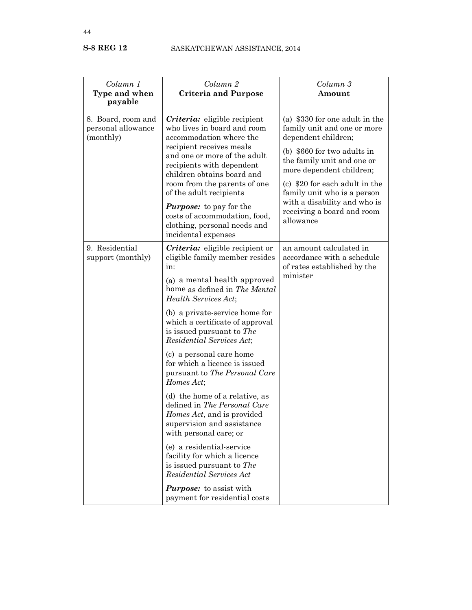| Column 1<br>Type and when<br>payable                  | Column 2<br><b>Criteria and Purpose</b>                                                                                                                      | Column 3<br>Amount                                                                                                                                                                                                                                                                                                        |
|-------------------------------------------------------|--------------------------------------------------------------------------------------------------------------------------------------------------------------|---------------------------------------------------------------------------------------------------------------------------------------------------------------------------------------------------------------------------------------------------------------------------------------------------------------------------|
| 8. Board, room and<br>personal allowance<br>(monthly) | <i>Criteria:</i> eligible recipient<br>who lives in board and room<br>accommodation where the<br>recipient receives meals<br>and one or more of the adult    | (a) \$330 for one adult in the<br>family unit and one or more<br>dependent children;<br>(b) \$660 for two adults in<br>the family unit and one or<br>more dependent children;<br>(c) \$20 for each adult in the<br>family unit who is a person<br>with a disability and who is<br>receiving a board and room<br>allowance |
|                                                       | recipients with dependent<br>children obtains board and<br>room from the parents of one<br>of the adult recipients                                           |                                                                                                                                                                                                                                                                                                                           |
|                                                       | <b>Purpose:</b> to pay for the<br>costs of accommodation, food,<br>clothing, personal needs and<br>incidental expenses                                       |                                                                                                                                                                                                                                                                                                                           |
| 9. Residential<br>support (monthly)                   | <i>Criteria:</i> eligible recipient or<br>eligible family member resides<br>in:                                                                              | an amount calculated in<br>accordance with a schedule<br>of rates established by the                                                                                                                                                                                                                                      |
|                                                       | (a) a mental health approved<br>home as defined in The Mental<br><b>Health Services Act:</b>                                                                 | minister                                                                                                                                                                                                                                                                                                                  |
|                                                       | (b) a private-service home for<br>which a certificate of approval<br>is issued pursuant to The<br>Residential Services Act;                                  |                                                                                                                                                                                                                                                                                                                           |
|                                                       | (c) a personal care home<br>for which a licence is issued<br>pursuant to The Personal Care<br>Homes Act;                                                     |                                                                                                                                                                                                                                                                                                                           |
|                                                       | (d) the home of a relative, as<br>defined in The Personal Care<br><i>Homes Act</i> , and is provided<br>supervision and assistance<br>with personal care; or |                                                                                                                                                                                                                                                                                                                           |
|                                                       | (e) a residential-service<br>facility for which a licence<br>is issued pursuant to The<br>Residential Services Act                                           |                                                                                                                                                                                                                                                                                                                           |
|                                                       | <b>Purpose:</b> to assist with<br>payment for residential costs                                                                                              |                                                                                                                                                                                                                                                                                                                           |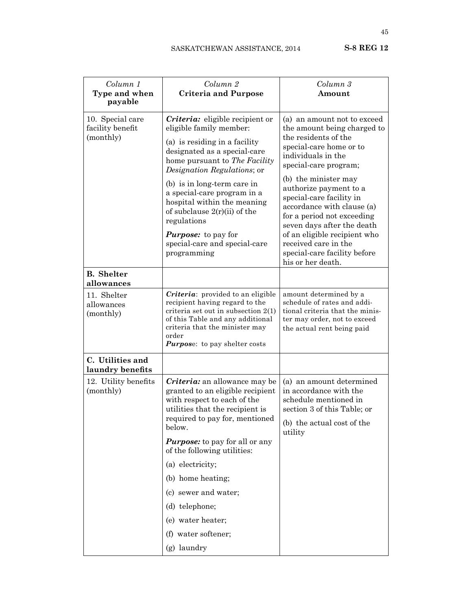| Column 1<br>Type and when<br>payable              | Column <sub>2</sub><br><b>Criteria and Purpose</b>                                                                                                                                                                                                                                                                                                                                                                             | Column 3<br>Amount                                                                                                                                                                                                                                                                                                                                                                                                                                |
|---------------------------------------------------|--------------------------------------------------------------------------------------------------------------------------------------------------------------------------------------------------------------------------------------------------------------------------------------------------------------------------------------------------------------------------------------------------------------------------------|---------------------------------------------------------------------------------------------------------------------------------------------------------------------------------------------------------------------------------------------------------------------------------------------------------------------------------------------------------------------------------------------------------------------------------------------------|
| 10. Special care<br>facility benefit<br>(monthly) | Criteria: eligible recipient or<br>eligible family member:<br>(a) is residing in a facility<br>designated as a special-care<br>home pursuant to The Facility<br>Designation Regulations; or<br>(b) is in long-term care in<br>a special-care program in a<br>hospital within the meaning<br>of subclause $2(r)(ii)$ of the<br>regulations<br><b><i>Purpose:</i></b> to pay for<br>special-care and special-care<br>programming | (a) an amount not to exceed<br>the amount being charged to<br>the residents of the<br>special-care home or to<br>individuals in the<br>special-care program;<br>(b) the minister may<br>authorize payment to a<br>special-care facility in<br>accordance with clause (a)<br>for a period not exceeding<br>seven days after the death<br>of an eligible recipient who<br>received care in the<br>special-care facility before<br>his or her death. |
| <b>B.</b> Shelter<br>allowances                   |                                                                                                                                                                                                                                                                                                                                                                                                                                |                                                                                                                                                                                                                                                                                                                                                                                                                                                   |
| 11. Shelter<br>allowances<br>(monthly)            | Criteria: provided to an eligible<br>recipient having regard to the<br>criteria set out in subsection $2(1)$<br>of this Table and any additional<br>criteria that the minister may<br>order<br><b>Purpose:</b> to pay shelter costs                                                                                                                                                                                            | amount determined by a<br>schedule of rates and addi-<br>tional criteria that the minis-<br>ter may order, not to exceed<br>the actual rent being paid                                                                                                                                                                                                                                                                                            |
| C. Utilities and<br>laundry benefits              |                                                                                                                                                                                                                                                                                                                                                                                                                                |                                                                                                                                                                                                                                                                                                                                                                                                                                                   |
| 12. Utility benefits<br>(monthly)                 | Criteria: an allowance may be<br>granted to an eligible recipient<br>with respect to each of the<br>utilities that the recipient is<br>required to pay for, mentioned<br>below.<br><b>Purpose:</b> to pay for all or any<br>of the following utilities:<br>(a) electricity;<br>(b) home heating;<br>(c) sewer and water;<br>(d) telephone;<br>(e) water heater;<br>(f) water softener;<br>(g) laundry                          | (a) an amount determined<br>in accordance with the<br>schedule mentioned in<br>section 3 of this Table; or<br>(b) the actual cost of the<br>utility                                                                                                                                                                                                                                                                                               |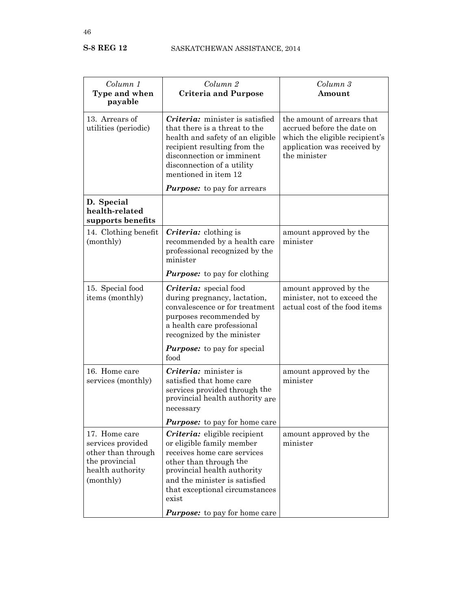| Column 1<br>Type and when<br>payable                                                                        | Column 2<br><b>Criteria and Purpose</b>                                                                                                                                                                                       | Column 3<br>Amount                                                                                                                        |
|-------------------------------------------------------------------------------------------------------------|-------------------------------------------------------------------------------------------------------------------------------------------------------------------------------------------------------------------------------|-------------------------------------------------------------------------------------------------------------------------------------------|
| 13. Arrears of<br>utilities (periodic)                                                                      | Criteria: minister is satisfied<br>that there is a threat to the<br>health and safety of an eligible<br>recipient resulting from the<br>disconnection or imminent<br>disconnection of a utility<br>mentioned in item 12       | the amount of arrears that<br>accrued before the date on<br>which the eligible recipient's<br>application was received by<br>the minister |
|                                                                                                             | <b>Purpose:</b> to pay for arrears                                                                                                                                                                                            |                                                                                                                                           |
| D. Special<br>health-related<br>supports benefits                                                           |                                                                                                                                                                                                                               |                                                                                                                                           |
| 14. Clothing benefit<br>(monthly)                                                                           | <i>Criteria:</i> clothing is<br>recommended by a health care<br>professional recognized by the<br>minister                                                                                                                    | amount approved by the<br>minister                                                                                                        |
|                                                                                                             | <b>Purpose:</b> to pay for clothing                                                                                                                                                                                           |                                                                                                                                           |
| 15. Special food<br>items (monthly)                                                                         | Criteria: special food<br>during pregnancy, lactation,<br>convalescence or for treatment<br>purposes recommended by<br>a health care professional<br>recognized by the minister                                               | amount approved by the<br>minister, not to exceed the<br>actual cost of the food items                                                    |
|                                                                                                             | <b>Purpose:</b> to pay for special<br>food                                                                                                                                                                                    |                                                                                                                                           |
| 16. Home care<br>services (monthly)                                                                         | Criteria: minister is<br>satisfied that home care<br>services provided through the<br>provincial health authority are<br>necessary                                                                                            | amount approved by the<br>minister                                                                                                        |
|                                                                                                             | Purpose: to pay for home care                                                                                                                                                                                                 |                                                                                                                                           |
| 17. Home care<br>services provided<br>other than through<br>the provincial<br>health authority<br>(monthly) | Criteria: eligible recipient<br>or eligible family member<br>receives home care services<br>other than through the<br>provincial health authority<br>and the minister is satisfied<br>that exceptional circumstances<br>exist | amount approved by the<br>minister                                                                                                        |
|                                                                                                             | Purpose: to pay for home care                                                                                                                                                                                                 |                                                                                                                                           |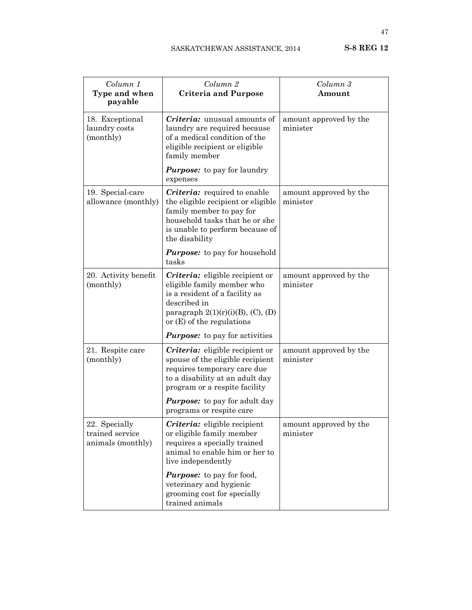| Column 1<br>Type and when<br>payable                  | Column 2<br><b>Criteria and Purpose</b>                                                                                                                                                       | Column 3<br>Amount                 |
|-------------------------------------------------------|-----------------------------------------------------------------------------------------------------------------------------------------------------------------------------------------------|------------------------------------|
| 18. Exceptional<br>laundry costs<br>(monthly)         | Criteria: unusual amounts of<br>laundry are required because<br>of a medical condition of the<br>eligible recipient or eligible<br>family member                                              | amount approved by the<br>minister |
|                                                       | <b>Purpose:</b> to pay for laundry<br>expenses                                                                                                                                                |                                    |
| 19. Special-care<br>allowance (monthly)               | <i>Criteria:</i> required to enable<br>the eligible recipient or eligible<br>family member to pay for<br>household tasks that he or she<br>is unable to perform because of<br>the disability  | amount approved by the<br>minister |
|                                                       | <b>Purpose:</b> to pay for household<br>tasks                                                                                                                                                 |                                    |
| 20. Activity benefit<br>(monthly)                     | <i>Criteria:</i> eligible recipient or<br>eligible family member who<br>is a resident of a facility as<br>described in<br>paragraph $2(1)(r)(i)(B)$ , (C), (D)<br>or $(E)$ of the regulations | amount approved by the<br>minister |
|                                                       | <b>Purpose:</b> to pay for activities                                                                                                                                                         |                                    |
| 21. Respite care<br>(monthly)                         | <i>Criteria:</i> eligible recipient or<br>spouse of the eligible recipient<br>requires temporary care due<br>to a disability at an adult day<br>program or a respite facility                 | amount approved by the<br>minister |
|                                                       | <b>Purpose:</b> to pay for adult day<br>programs or respite care                                                                                                                              |                                    |
| 22. Specially<br>trained service<br>animals (monthly) | Criteria: eligible recipient<br>or eligible family member<br>requires a specially trained<br>animal to enable him or her to<br>live independently                                             | amount approved by the<br>minister |
|                                                       | <b>Purpose:</b> to pay for food,<br>veterinary and hygienic<br>grooming cost for specially<br>trained animals                                                                                 |                                    |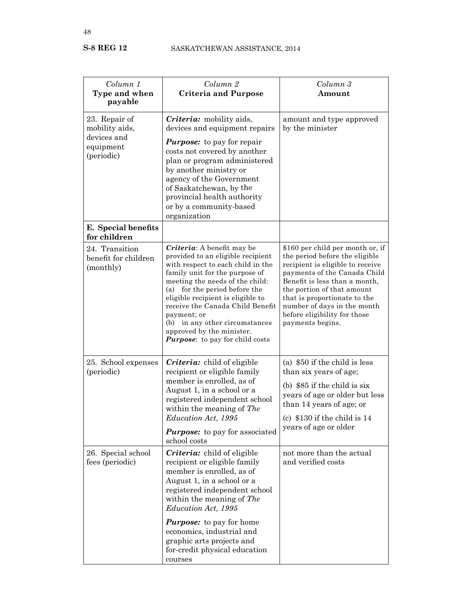| Column 1<br>Type and when<br>payable                                      | Column 2<br><b>Criteria and Purpose</b>                                                                                                                                                                                                                                                                                                                                                              | Column 3<br>Amount                                                                                                                                                                                                                                                                                                       |
|---------------------------------------------------------------------------|------------------------------------------------------------------------------------------------------------------------------------------------------------------------------------------------------------------------------------------------------------------------------------------------------------------------------------------------------------------------------------------------------|--------------------------------------------------------------------------------------------------------------------------------------------------------------------------------------------------------------------------------------------------------------------------------------------------------------------------|
| 23. Repair of<br>mobility aids,<br>devices and<br>equipment<br>(periodic) | Criteria: mobility aids,<br>devices and equipment repairs<br><b>Purpose:</b> to pay for repair<br>costs not covered by another<br>plan or program administered<br>by another ministry or<br>agency of the Government<br>of Saskatchewan, by the<br>provincial health authority<br>or by a community-based<br>organization                                                                            | amount and type approved<br>by the minister                                                                                                                                                                                                                                                                              |
| E. Special benefits<br>for children                                       |                                                                                                                                                                                                                                                                                                                                                                                                      |                                                                                                                                                                                                                                                                                                                          |
| 24. Transition<br>benefit for children<br>(monthly)                       | Criteria: A benefit may be<br>provided to an eligible recipient<br>with respect to each child in the<br>family unit for the purpose of<br>meeting the needs of the child:<br>(a) for the period before the<br>eligible recipient is eligible to<br>receive the Canada Child Benefit<br>payment; or<br>(b) in any other circumstances<br>approved by the minister.<br>Purpose: to pay for child costs | \$160 per child per month or, if<br>the period before the eligible<br>recipient is eligible to receive<br>payments of the Canada Child<br>Benefit is less than a month,<br>the portion of that amount<br>that is proportionate to the<br>number of days in the month<br>before eligibility for those<br>payments begins. |
| 25. School expenses<br>(periodic)                                         | <i>Criteria:</i> child of eligible<br>recipient or eligible family<br>member is enrolled, as of                                                                                                                                                                                                                                                                                                      | (a) \$50 if the child is less<br>than six years of age;<br>(b) $$85$ if the child is six                                                                                                                                                                                                                                 |
|                                                                           | August 1, in a school or a<br>registered independent school<br>within the meaning of The                                                                                                                                                                                                                                                                                                             | years of age or older but less<br>than 14 years of age; or                                                                                                                                                                                                                                                               |
|                                                                           | Education Act, 1995<br><b>Purpose:</b> to pay for associated<br>school costs                                                                                                                                                                                                                                                                                                                         | (c) $$130$ if the child is 14<br>years of age or older                                                                                                                                                                                                                                                                   |
| 26. Special school<br>fees (periodic)                                     | Criteria: child of eligible<br>recipient or eligible family<br>member is enrolled, as of<br>August 1, in a school or a<br>registered independent school<br>within the meaning of The<br>Education Act, 1995                                                                                                                                                                                          | not more than the actual<br>and verified costs                                                                                                                                                                                                                                                                           |
|                                                                           | <b>Purpose:</b> to pay for home<br>economics, industrial and<br>graphic arts projects and<br>for-credit physical education<br>courses                                                                                                                                                                                                                                                                |                                                                                                                                                                                                                                                                                                                          |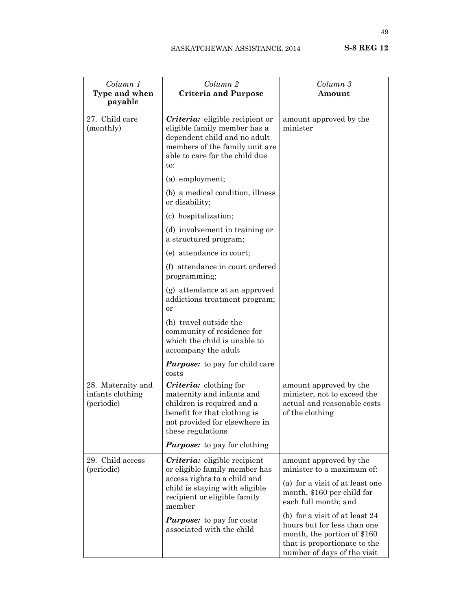| Column 1<br>Type and when<br>payable                | Column <sub>2</sub><br><b>Criteria and Purpose</b>                                                                                                                                | Column 3<br>Amount                                                                                                                                            |
|-----------------------------------------------------|-----------------------------------------------------------------------------------------------------------------------------------------------------------------------------------|---------------------------------------------------------------------------------------------------------------------------------------------------------------|
| 27. Child care<br>(monthly)                         | <i>Criteria:</i> eligible recipient or<br>eligible family member has a<br>dependent child and no adult<br>members of the family unit are<br>able to care for the child due<br>to: | amount approved by the<br>minister                                                                                                                            |
|                                                     | (a) employment;                                                                                                                                                                   |                                                                                                                                                               |
|                                                     | (b) a medical condition, illness<br>or disability;                                                                                                                                |                                                                                                                                                               |
|                                                     | (c) hospitalization;                                                                                                                                                              |                                                                                                                                                               |
|                                                     | (d) involvement in training or<br>a structured program;                                                                                                                           |                                                                                                                                                               |
|                                                     | (e) attendance in court;                                                                                                                                                          |                                                                                                                                                               |
|                                                     | (f) attendance in court ordered<br>programming;                                                                                                                                   |                                                                                                                                                               |
|                                                     | (g) attendance at an approved<br>addictions treatment program;<br>or                                                                                                              |                                                                                                                                                               |
|                                                     | (h) travel outside the<br>community of residence for<br>which the child is unable to<br>accompany the adult                                                                       |                                                                                                                                                               |
|                                                     | <b>Purpose:</b> to pay for child care<br>costs                                                                                                                                    |                                                                                                                                                               |
| 28. Maternity and<br>infants clothing<br>(periodic) | <i>Criteria:</i> clothing for<br>maternity and infants and<br>children is required and a<br>benefit for that clothing is<br>not provided for elsewhere in<br>these regulations    | amount approved by the<br>minister, not to exceed the<br>actual and reasonable costs<br>of the clothing                                                       |
|                                                     | <b>Purpose:</b> to pay for clothing                                                                                                                                               |                                                                                                                                                               |
| 29. Child access<br>(periodic)                      | Criteria: eligible recipient<br>or eligible family member has<br>access rights to a child and<br>child is staying with eligible<br>recipient or eligible family<br>member         | amount approved by the<br>minister to a maximum of:<br>(a) for a visit of at least one<br>month, \$160 per child for<br>each full month; and                  |
|                                                     | <b>Purpose:</b> to pay for costs<br>associated with the child                                                                                                                     | (b) for a visit of at least $24$<br>hours but for less than one<br>month, the portion of \$160<br>that is proportionate to the<br>number of days of the visit |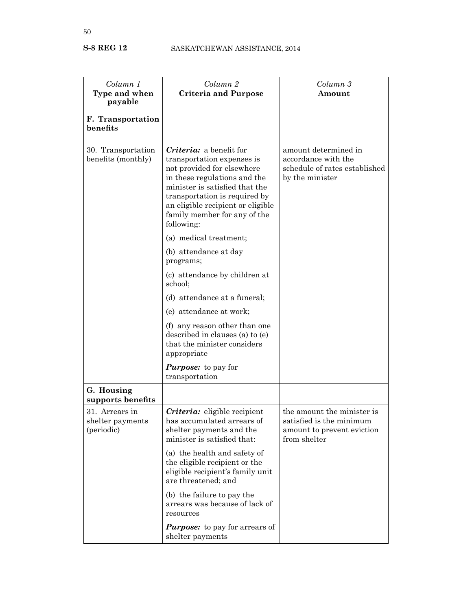| Column 1<br>Type and when<br>payable             | Column <sub>2</sub><br><b>Criteria and Purpose</b>                                                                                                                                                                                                                                                                                  | Column 3<br>Amount                                                                                   |
|--------------------------------------------------|-------------------------------------------------------------------------------------------------------------------------------------------------------------------------------------------------------------------------------------------------------------------------------------------------------------------------------------|------------------------------------------------------------------------------------------------------|
| F. Transportation<br>benefits                    |                                                                                                                                                                                                                                                                                                                                     |                                                                                                      |
| 30. Transportation<br>benefits (monthly)         | <i>Criteria:</i> a benefit for<br>transportation expenses is<br>not provided for elsewhere<br>in these regulations and the<br>minister is satisfied that the<br>transportation is required by<br>an eligible recipient or eligible<br>family member for any of the<br>following:<br>(a) medical treatment;<br>(b) attendance at day | amount determined in<br>accordance with the<br>schedule of rates established<br>by the minister      |
|                                                  | programs;<br>(c) attendance by children at                                                                                                                                                                                                                                                                                          |                                                                                                      |
|                                                  | school;<br>(d) attendance at a funeral;                                                                                                                                                                                                                                                                                             |                                                                                                      |
|                                                  | (e) attendance at work;                                                                                                                                                                                                                                                                                                             |                                                                                                      |
|                                                  | (f) any reason other than one<br>described in clauses (a) to (e)<br>that the minister considers<br>appropriate                                                                                                                                                                                                                      |                                                                                                      |
|                                                  | <b><i>Purpose:</i></b> to pay for<br>transportation                                                                                                                                                                                                                                                                                 |                                                                                                      |
| G. Housing<br>supports benefits                  |                                                                                                                                                                                                                                                                                                                                     |                                                                                                      |
| 31. Arrears in<br>shelter payments<br>(periodic) | <i>Criteria:</i> eligible recipient<br>has accumulated arrears of<br>shelter payments and the<br>minister is satisfied that:                                                                                                                                                                                                        | the amount the minister is<br>satisfied is the minimum<br>amount to prevent eviction<br>from shelter |
|                                                  | (a) the health and safety of<br>the eligible recipient or the<br>eligible recipient's family unit<br>are threatened; and                                                                                                                                                                                                            |                                                                                                      |
|                                                  | (b) the failure to pay the<br>arrears was because of lack of<br>resources                                                                                                                                                                                                                                                           |                                                                                                      |
|                                                  | <b>Purpose:</b> to pay for arrears of<br>shelter payments                                                                                                                                                                                                                                                                           |                                                                                                      |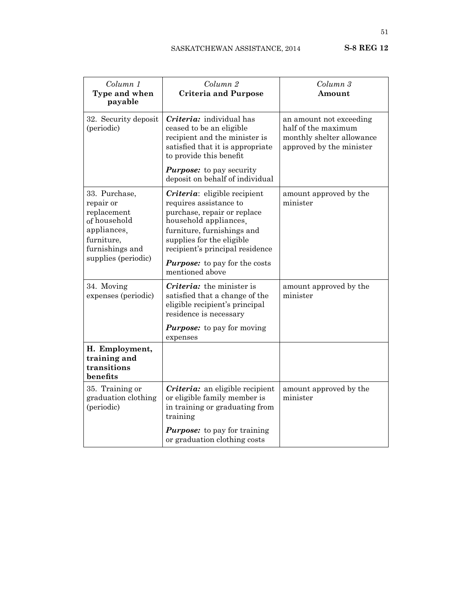| Column 1<br>Type and when<br>payable                                                                                             | Column <sub>2</sub><br><b>Criteria and Purpose</b>                                                                                                                                                                                                                      | Column 3<br>Amount                                                                                      |
|----------------------------------------------------------------------------------------------------------------------------------|-------------------------------------------------------------------------------------------------------------------------------------------------------------------------------------------------------------------------------------------------------------------------|---------------------------------------------------------------------------------------------------------|
| 32. Security deposit<br>(periodic)                                                                                               | Criteria: individual has<br>ceased to be an eligible<br>recipient and the minister is<br>satisfied that it is appropriate<br>to provide this benefit                                                                                                                    | an amount not exceeding<br>half of the maximum<br>monthly shelter allowance<br>approved by the minister |
|                                                                                                                                  | <b>Purpose:</b> to pay security<br>deposit on behalf of individual                                                                                                                                                                                                      |                                                                                                         |
| 33. Purchase,<br>repair or<br>replacement<br>of household<br>appliances,<br>furniture,<br>furnishings and<br>supplies (periodic) | Criteria: eligible recipient<br>requires assistance to<br>purchase, repair or replace<br>household appliances,<br>furniture, furnishings and<br>supplies for the eligible<br>recipient's principal residence<br><b>Purpose:</b> to pay for the costs<br>mentioned above | amount approved by the<br>minister                                                                      |
| 34. Moving<br>expenses (periodic)                                                                                                | <i>Criteria:</i> the minister is<br>satisfied that a change of the<br>eligible recipient's principal<br>residence is necessary<br><b>Purpose:</b> to pay for moving                                                                                                     | amount approved by the<br>minister                                                                      |
| H. Employment,<br>training and<br>transitions<br>benefits                                                                        | expenses                                                                                                                                                                                                                                                                |                                                                                                         |
| 35. Training or<br>graduation clothing<br>(periodic)                                                                             | Criteria: an eligible recipient<br>or eligible family member is<br>in training or graduating from<br>training                                                                                                                                                           | amount approved by the<br>minister                                                                      |
|                                                                                                                                  | <b>Purpose:</b> to pay for training<br>or graduation clothing costs                                                                                                                                                                                                     |                                                                                                         |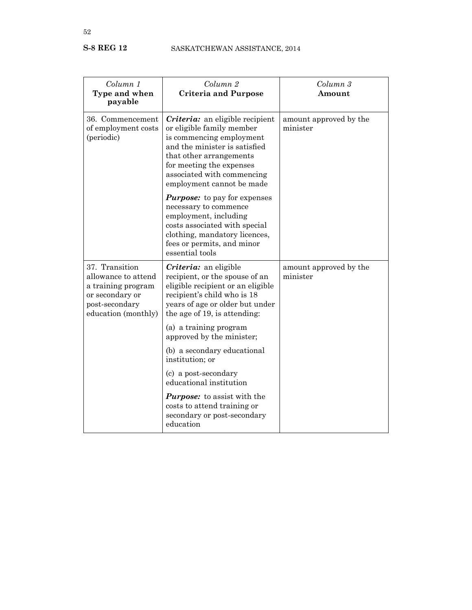| Column 1<br>Type and when<br>payable                                                                                    | Column 2<br><b>Criteria and Purpose</b>                                                                                                                                                                                                     | Column 3<br>Amount                 |
|-------------------------------------------------------------------------------------------------------------------------|---------------------------------------------------------------------------------------------------------------------------------------------------------------------------------------------------------------------------------------------|------------------------------------|
| 36. Commencement<br>of employment costs<br>(periodic)                                                                   | Criteria: an eligible recipient<br>or eligible family member<br>is commencing employment<br>and the minister is satisfied<br>that other arrangements<br>for meeting the expenses<br>associated with commencing<br>employment cannot be made | amount approved by the<br>minister |
|                                                                                                                         | <b>Purpose:</b> to pay for expenses<br>necessary to commence<br>employment, including<br>costs associated with special<br>clothing, mandatory licences,<br>fees or permits, and minor<br>essential tools                                    |                                    |
| 37. Transition<br>allowance to attend<br>a training program<br>or secondary or<br>post-secondary<br>education (monthly) | Criteria: an eligible<br>recipient, or the spouse of an<br>eligible recipient or an eligible<br>recipient's child who is 18<br>years of age or older but under<br>the age of 19, is attending:                                              | amount approved by the<br>minister |
|                                                                                                                         | (a) a training program<br>approved by the minister;                                                                                                                                                                                         |                                    |
|                                                                                                                         | (b) a secondary educational<br>institution; or                                                                                                                                                                                              |                                    |
|                                                                                                                         | (c) a post-secondary<br>educational institution                                                                                                                                                                                             |                                    |
|                                                                                                                         | <b>Purpose:</b> to assist with the<br>costs to attend training or<br>secondary or post-secondary<br>education                                                                                                                               |                                    |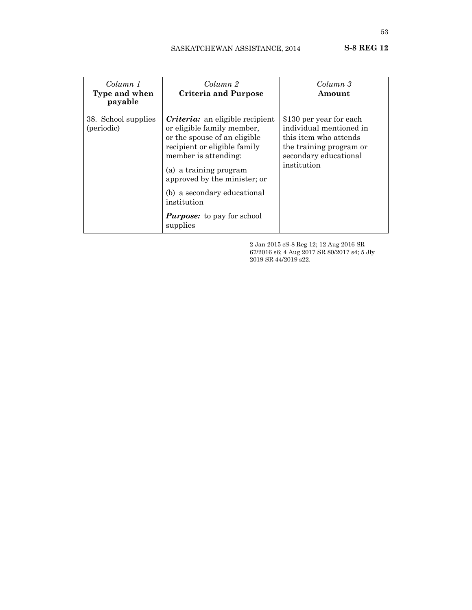| Column 1<br>Type and when<br>payable | Column 2<br><b>Criteria and Purpose</b>                                                                                                                                                                                                                              | Column 3<br>Amount                                                                                                                             |
|--------------------------------------|----------------------------------------------------------------------------------------------------------------------------------------------------------------------------------------------------------------------------------------------------------------------|------------------------------------------------------------------------------------------------------------------------------------------------|
| 38. School supplies<br>(periodic)    | <i>Criteria:</i> an eligible recipient<br>or eligible family member,<br>or the spouse of an eligible<br>recipient or eligible family<br>member is attending:<br>(a) a training program<br>approved by the minister; or<br>(b) a secondary educational<br>institution | \$130 per year for each<br>individual mentioned in<br>this item who attends<br>the training program or<br>secondary educational<br>institution |
|                                      | <b>Purpose:</b> to pay for school<br>supplies                                                                                                                                                                                                                        |                                                                                                                                                |

2 Jan 2015 cS-8 Reg 12; 12 Aug 2016 SR 67/2016 s6; 4 Aug 2017 SR 80/2017 s4; 5 Jly 2019 SR 44/2019 s22.